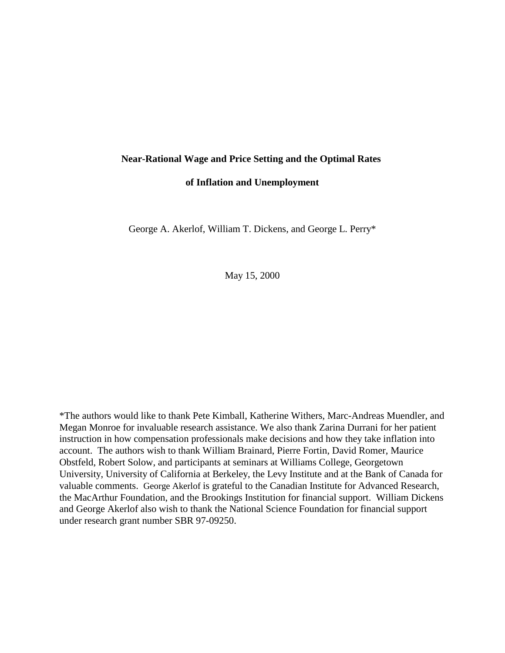## **Near-Rational Wage and Price Setting and the Optimal Rates**

**of Inflation and Unemployment**

George A. Akerlof, William T. Dickens, and George L. Perry\*

May 15, 2000

\*The authors would like to thank Pete Kimball, Katherine Withers, Marc-Andreas Muendler, and Megan Monroe for invaluable research assistance. We also thank Zarina Durrani for her patient instruction in how compensation professionals make decisions and how they take inflation into account. The authors wish to thank William Brainard, Pierre Fortin, David Romer, Maurice Obstfeld, Robert Solow, and participants at seminars at Williams College, Georgetown University, University of California at Berkeley, the Levy Institute and at the Bank of Canada for valuable comments. George Akerlof is grateful to the Canadian Institute for Advanced Research, the MacArthur Foundation, and the Brookings Institution for financial support. William Dickens and George Akerlof also wish to thank the National Science Foundation for financial support under research grant number SBR 97-09250.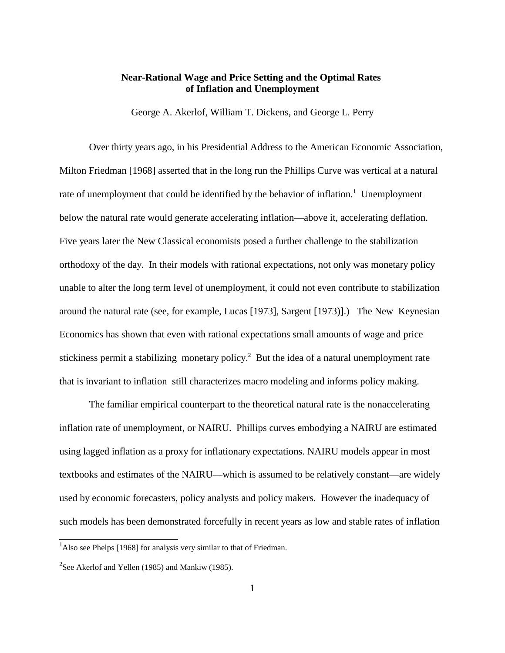# **Near-Rational Wage and Price Setting and the Optimal Rates of Inflation and Unemployment**

George A. Akerlof, William T. Dickens, and George L. Perry

Over thirty years ago, in his Presidential Address to the American Economic Association, Milton Friedman [1968] asserted that in the long run the Phillips Curve was vertical at a natural rate of unemployment that could be identified by the behavior of inflation.<sup>1</sup> Unemployment below the natural rate would generate accelerating inflation—above it, accelerating deflation. Five years later the New Classical economists posed a further challenge to the stabilization orthodoxy of the day. In their models with rational expectations, not only was monetary policy unable to alter the long term level of unemployment, it could not even contribute to stabilization around the natural rate (see, for example, Lucas [1973], Sargent [1973)].) The New Keynesian Economics has shown that even with rational expectations small amounts of wage and price stickiness permit a stabilizing monetary policy.<sup>2</sup> But the idea of a natural unemployment rate that is invariant to inflation still characterizes macro modeling and informs policy making.

The familiar empirical counterpart to the theoretical natural rate is the nonaccelerating inflation rate of unemployment, or NAIRU. Phillips curves embodying a NAIRU are estimated using lagged inflation as a proxy for inflationary expectations. NAIRU models appear in most textbooks and estimates of the NAIRU—which is assumed to be relatively constant—are widely used by economic forecasters, policy analysts and policy makers. However the inadequacy of such models has been demonstrated forcefully in recent years as low and stable rates of inflation

<sup>&</sup>lt;sup>1</sup>Also see Phelps [1968] for analysis very similar to that of Friedman.

<sup>&</sup>lt;sup>2</sup>See Akerlof and Yellen (1985) and Mankiw (1985).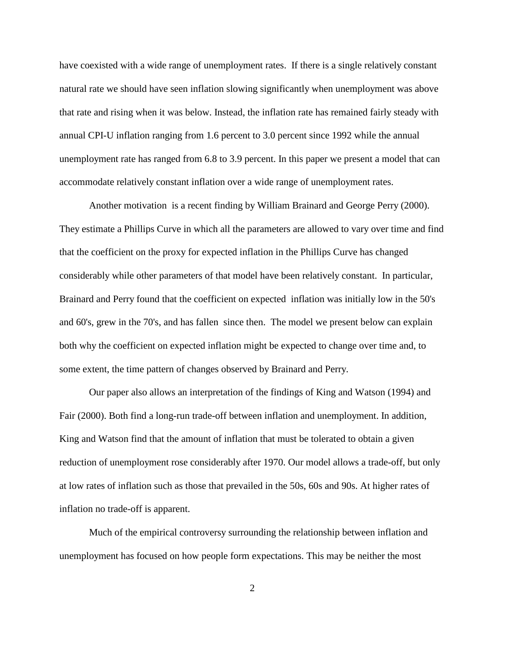have coexisted with a wide range of unemployment rates. If there is a single relatively constant natural rate we should have seen inflation slowing significantly when unemployment was above that rate and rising when it was below. Instead, the inflation rate has remained fairly steady with annual CPI-U inflation ranging from 1.6 percent to 3.0 percent since 1992 while the annual unemployment rate has ranged from 6.8 to 3.9 percent. In this paper we present a model that can accommodate relatively constant inflation over a wide range of unemployment rates.

Another motivation is a recent finding by William Brainard and George Perry (2000). They estimate a Phillips Curve in which all the parameters are allowed to vary over time and find that the coefficient on the proxy for expected inflation in the Phillips Curve has changed considerably while other parameters of that model have been relatively constant. In particular, Brainard and Perry found that the coefficient on expected inflation was initially low in the 50's and 60's, grew in the 70's, and has fallen since then. The model we present below can explain both why the coefficient on expected inflation might be expected to change over time and, to some extent, the time pattern of changes observed by Brainard and Perry.

Our paper also allows an interpretation of the findings of King and Watson (1994) and Fair (2000). Both find a long-run trade-off between inflation and unemployment. In addition, King and Watson find that the amount of inflation that must be tolerated to obtain a given reduction of unemployment rose considerably after 1970. Our model allows a trade-off, but only at low rates of inflation such as those that prevailed in the 50s, 60s and 90s. At higher rates of inflation no trade-off is apparent.

Much of the empirical controversy surrounding the relationship between inflation and unemployment has focused on how people form expectations. This may be neither the most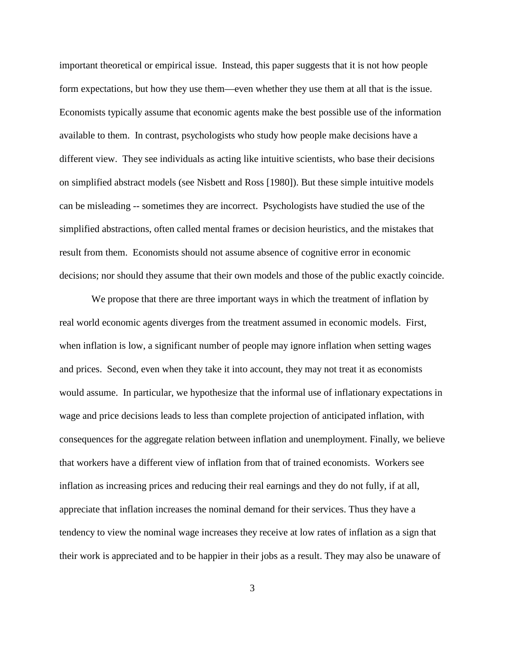important theoretical or empirical issue. Instead, this paper suggests that it is not how people form expectations, but how they use them—even whether they use them at all that is the issue. Economists typically assume that economic agents make the best possible use of the information available to them. In contrast, psychologists who study how people make decisions have a different view. They see individuals as acting like intuitive scientists, who base their decisions on simplified abstract models (see Nisbett and Ross [1980]). But these simple intuitive models can be misleading -- sometimes they are incorrect. Psychologists have studied the use of the simplified abstractions, often called mental frames or decision heuristics, and the mistakes that result from them. Economists should not assume absence of cognitive error in economic decisions; nor should they assume that their own models and those of the public exactly coincide.

We propose that there are three important ways in which the treatment of inflation by real world economic agents diverges from the treatment assumed in economic models. First, when inflation is low, a significant number of people may ignore inflation when setting wages and prices. Second, even when they take it into account, they may not treat it as economists would assume. In particular, we hypothesize that the informal use of inflationary expectations in wage and price decisions leads to less than complete projection of anticipated inflation, with consequences for the aggregate relation between inflation and unemployment. Finally, we believe that workers have a different view of inflation from that of trained economists. Workers see inflation as increasing prices and reducing their real earnings and they do not fully, if at all, appreciate that inflation increases the nominal demand for their services. Thus they have a tendency to view the nominal wage increases they receive at low rates of inflation as a sign that their work is appreciated and to be happier in their jobs as a result. They may also be unaware of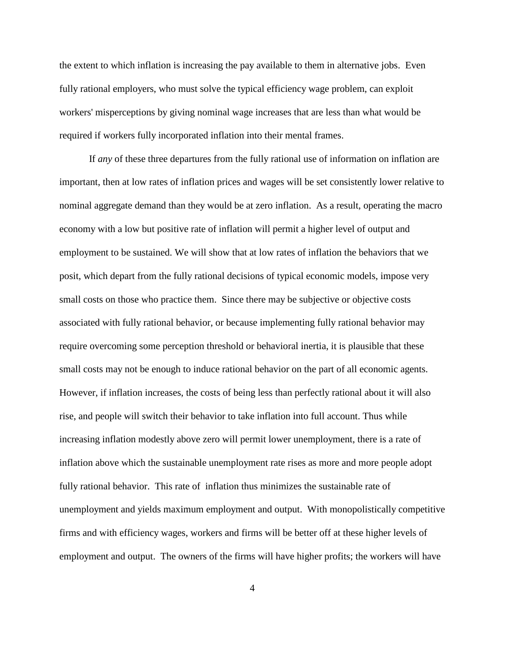the extent to which inflation is increasing the pay available to them in alternative jobs. Even fully rational employers, who must solve the typical efficiency wage problem, can exploit workers' misperceptions by giving nominal wage increases that are less than what would be required if workers fully incorporated inflation into their mental frames.

If *any* of these three departures from the fully rational use of information on inflation are important, then at low rates of inflation prices and wages will be set consistently lower relative to nominal aggregate demand than they would be at zero inflation. As a result, operating the macro economy with a low but positive rate of inflation will permit a higher level of output and employment to be sustained. We will show that at low rates of inflation the behaviors that we posit, which depart from the fully rational decisions of typical economic models, impose very small costs on those who practice them. Since there may be subjective or objective costs associated with fully rational behavior, or because implementing fully rational behavior may require overcoming some perception threshold or behavioral inertia, it is plausible that these small costs may not be enough to induce rational behavior on the part of all economic agents. However, if inflation increases, the costs of being less than perfectly rational about it will also rise, and people will switch their behavior to take inflation into full account. Thus while increasing inflation modestly above zero will permit lower unemployment, there is a rate of inflation above which the sustainable unemployment rate rises as more and more people adopt fully rational behavior. This rate of inflation thus minimizes the sustainable rate of unemployment and yields maximum employment and output. With monopolistically competitive firms and with efficiency wages, workers and firms will be better off at these higher levels of employment and output. The owners of the firms will have higher profits; the workers will have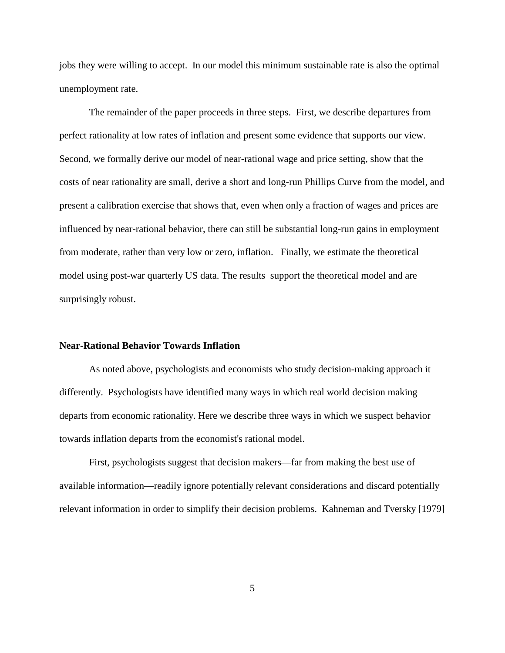jobs they were willing to accept. In our model this minimum sustainable rate is also the optimal unemployment rate.

The remainder of the paper proceeds in three steps. First, we describe departures from perfect rationality at low rates of inflation and present some evidence that supports our view. Second, we formally derive our model of near-rational wage and price setting, show that the costs of near rationality are small, derive a short and long-run Phillips Curve from the model, and present a calibration exercise that shows that, even when only a fraction of wages and prices are influenced by near-rational behavior, there can still be substantial long-run gains in employment from moderate, rather than very low or zero, inflation. Finally, we estimate the theoretical model using post-war quarterly US data. The results support the theoretical model and are surprisingly robust.

## **Near-Rational Behavior Towards Inflation**

As noted above, psychologists and economists who study decision-making approach it differently. Psychologists have identified many ways in which real world decision making departs from economic rationality. Here we describe three ways in which we suspect behavior towards inflation departs from the economist's rational model.

First, psychologists suggest that decision makers—far from making the best use of available information—readily ignore potentially relevant considerations and discard potentially relevant information in order to simplify their decision problems. Kahneman and Tversky [1979]

5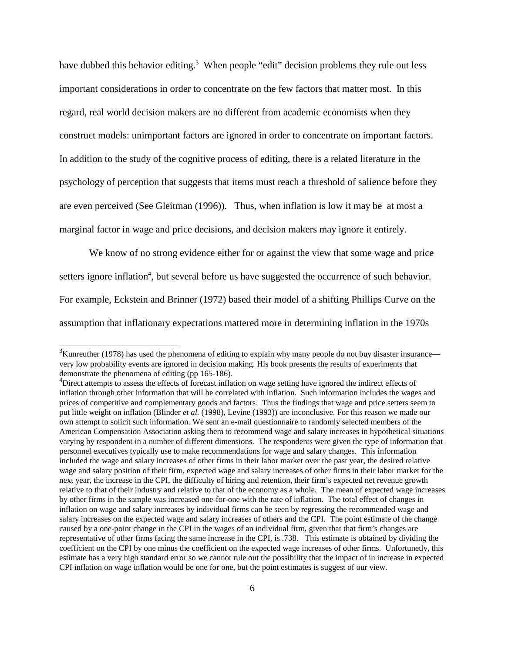have dubbed this behavior editing.<sup>3</sup> When people "edit" decision problems they rule out less important considerations in order to concentrate on the few factors that matter most. In this regard, real world decision makers are no different from academic economists when they construct models: unimportant factors are ignored in order to concentrate on important factors. In addition to the study of the cognitive process of editing, there is a related literature in the psychology of perception that suggests that items must reach a threshold of salience before they are even perceived (See Gleitman (1996)). Thus, when inflation is low it may beat most a marginal factor in wage and price decisions, and decision makers may ignore it entirely.

We know of no strong evidence either for or against the view that some wage and price setters ignore inflation<sup>4</sup>, but several before us have suggested the occurrence of such behavior. For example, Eckstein and Brinner (1972) based their model of a shifting Phillips Curve on the assumption that inflationary expectations mattered more in determining inflation in the 1970s

 $3$ Kunreuther (1978) has used the phenomena of editing to explain why many people do not buy disaster insurance very low probability events are ignored in decision making. His book presents the results of experiments that demonstrate the phenomena of editing (pp 165-186).

<sup>&</sup>lt;sup>4</sup>Direct attempts to assess the effects of forecast inflation on wage setting have ignored the indirect effects of inflation through other information that will be correlated with inflation. Such information includes the wages and prices of competitive and complementary goods and factors. Thus the findings that wage and price setters seem to put little weight on inflation (Blinder *et al.* (1998), Levine (1993)) are inconclusive. For this reason we made our own attempt to solicit such information. We sent an e-mail questionnaire to randomly selected members of the American Compensation Association asking them to recommend wage and salary increases in hypothetical situations varying by respondent in a number of different dimensions. The respondents were given the type of information that personnel executives typically use to make recommendations for wage and salary changes. This information included the wage and salary increases of other firms in their labor market over the past year, the desired relative wage and salary position of their firm, expected wage and salary increases of other firms in their labor market for the next year, the increase in the CPI, the difficulty of hiring and retention, their firm's expected net revenue growth relative to that of their industry and relative to that of the economy as a whole. The mean of expected wage increases by other firms in the sample was increased one-for-one with the rate of inflation. The total effect of changes in inflation on wage and salary increases by individual firms can be seen by regressing the recommended wage and salary increases on the expected wage and salary increases of others and the CPI. The point estimate of the change caused by a one-point change in the CPI in the wages of an individual firm, given that that firm's changes are representative of other firms facing the same increase in the CPI, is .738. This estimate is obtained by dividing the coefficient on the CPI by one minus the coefficient on the expected wage increases of other firms. Unfortunetly, this estimate has a very high standard error so we cannot rule out the possibility that the impact of in increase in expected CPI inflation on wage inflation would be one for one, but the point estimates is suggest of our view.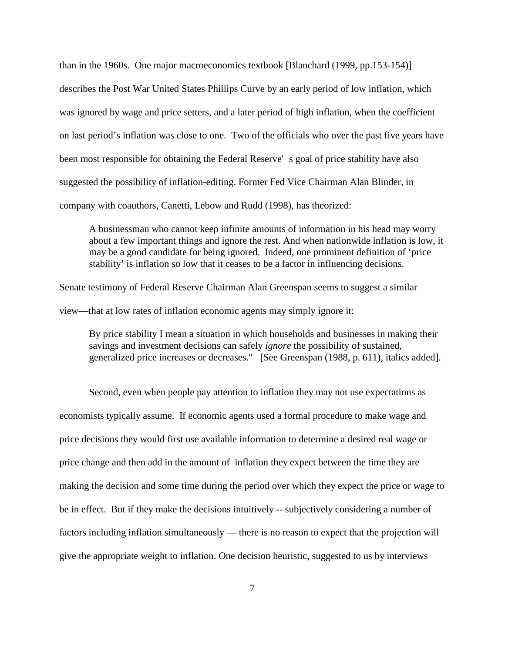than in the 1960s. One major macroeconomics textbook [Blanchard (1999, pp.153-154)] describes the Post War United States Phillips Curve by an early period of low inflation, which was ignored by wage and price setters, and a later period of high inflation, when the coefficient on last period's inflation was close to one. Two of the officials who over the past five years have been most responsible for obtaining the Federal Reserve' s goal of price stability have also suggested the possibility of inflation-editing. Former Fed Vice Chairman Alan Blinder, in company with coauthors, Canetti, Lebow and Rudd (1998), has theorized:

A businessman who cannot keep infinite amounts of information in his head may worry about a few important things and ignore the rest. And when nationwide inflation is low, it may be a good candidate for being ignored. Indeed, one prominent definition of 'price stability' is inflation so low that it ceases to be a factor in influencing decisions.

Senate testimony of Federal Reserve Chairman Alan Greenspan seems to suggest a similar view—that at low rates of inflation economic agents may simply ignore it:

By price stability I mean a situation in which households and businesses in making their savings and investment decisions can safely *ignore* the possibility of sustained, generalized price increases or decreases." [See Greenspan (1988, p. 611), italics added].

Second, even when people pay attention to inflation they may not use expectations as economists typically assume. If economic agents used a formal procedure to make wage and price decisions they would first use available information to determine a desired real wage or price change and then add in the amount of inflation they expect between the time they are making the decision and some time during the period over which they expect the price or wage to be in effect. But if they make the decisions intuitively -- subjectively considering a number of factors including inflation simultaneously — there is no reason to expect that the projection will give the appropriate weight to inflation. One decision heuristic, suggested to us by interviews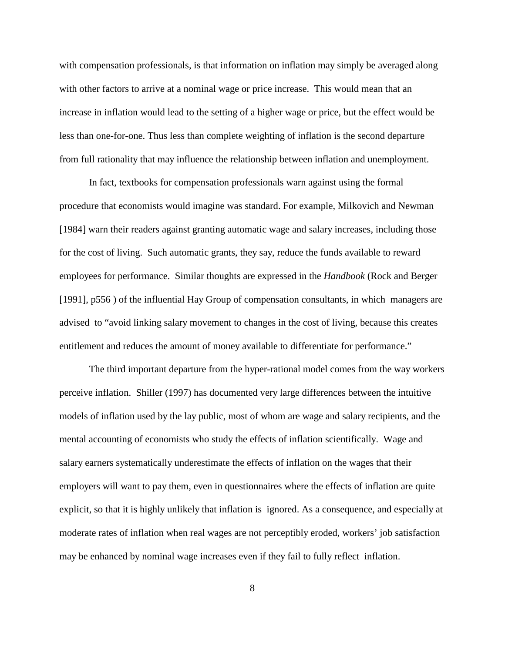with compensation professionals, is that information on inflation may simply be averaged along with other factors to arrive at a nominal wage or price increase. This would mean that an increase in inflation would lead to the setting of a higher wage or price, but the effect would be less than one-for-one. Thus less than complete weighting of inflation is the second departure from full rationality that may influence the relationship between inflation and unemployment.

In fact, textbooks for compensation professionals warn against using the formal procedure that economists would imagine was standard. For example, Milkovich and Newman [1984] warn their readers against granting automatic wage and salary increases, including those for the cost of living. Such automatic grants, they say, reduce the funds available to reward employees for performance. Similar thoughts are expressed in the *Handbook* (Rock and Berger [1991], p556 ) of the influential Hay Group of compensation consultants, in which managers are advised to "avoid linking salary movement to changes in the cost of living, because this creates entitlement and reduces the amount of money available to differentiate for performance."

The third important departure from the hyper-rational model comes from the way workers perceive inflation. Shiller (1997) has documented very large differences between the intuitive models of inflation used by the lay public, most of whom are wage and salary recipients, and the mental accounting of economists who study the effects of inflation scientifically. Wage and salary earners systematically underestimate the effects of inflation on the wages that their employers will want to pay them, even in questionnaires where the effects of inflation are quite explicit, so that it is highly unlikely that inflation is ignored. As a consequence, and especially at moderate rates of inflation when real wages are not perceptibly eroded, workers' job satisfaction may be enhanced by nominal wage increases even if they fail to fully reflect inflation.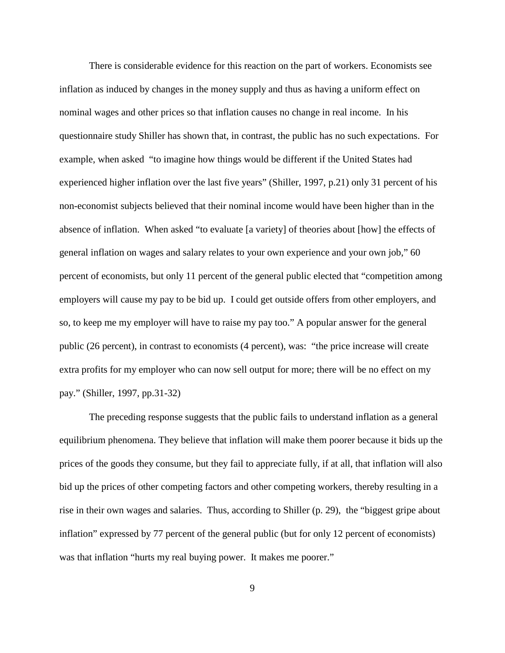There is considerable evidence for this reaction on the part of workers. Economists see inflation as induced by changes in the money supply and thus as having a uniform effect on nominal wages and other prices so that inflation causes no change in real income. In his questionnaire study Shiller has shown that, in contrast, the public has no such expectations. For example, when asked "to imagine how things would be different if the United States had experienced higher inflation over the last five years" (Shiller, 1997, p.21) only 31 percent of his non-economist subjects believed that their nominal income would have been higher than in the absence of inflation. When asked "to evaluate [a variety] of theories about [how] the effects of general inflation on wages and salary relates to your own experience and your own job," 60 percent of economists, but only 11 percent of the general public elected that "competition among employers will cause my pay to be bid up. I could get outside offers from other employers, and so, to keep me my employer will have to raise my pay too." A popular answer for the general public (26 percent), in contrast to economists (4 percent), was:"the price increase will create extra profits for my employer who can now sell output for more; there will be no effect on my pay." (Shiller, 1997, pp.31-32)

The preceding response suggests that the public fails to understand inflation as a general equilibrium phenomena. They believe that inflation will make them poorer because it bids up the prices of the goods they consume, but they fail to appreciate fully, if at all, that inflation will also bid up the prices of other competing factors and other competing workers, thereby resulting in a rise in their own wages and salaries. Thus, according to Shiller (p. 29), the "biggest gripe about inflation" expressed by 77 percent of the general public (but for only 12 percent of economists) was that inflation "hurts my real buying power. It makes me poorer."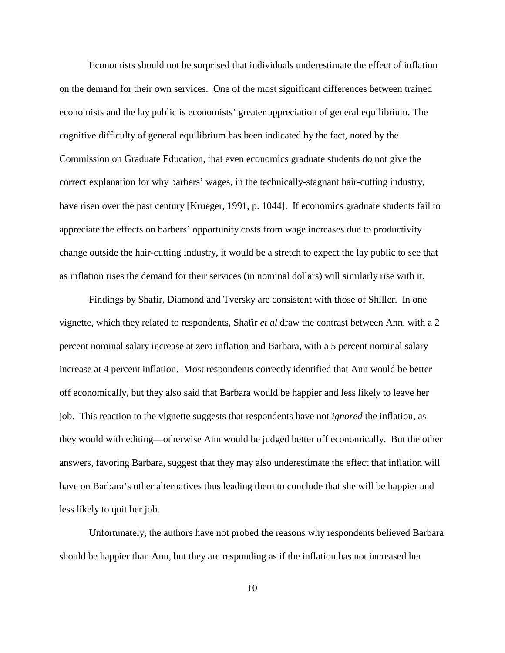Economists should not be surprised that individuals underestimate the effect of inflation on the demand for their own services. One of the most significant differences between trained economists and the lay public is economists' greater appreciation of general equilibrium. The cognitive difficulty of general equilibrium has been indicated by the fact, noted by the Commission on Graduate Education, that even economics graduate students do not give the correct explanation for why barbers' wages, in the technically-stagnant hair-cutting industry, have risen over the past century [Krueger, 1991, p. 1044]. If economics graduate students fail to appreciate the effects on barbers' opportunity costs from wage increases due to productivity change outside the hair-cutting industry, it would be a stretch to expect the lay public to see that as inflation rises the demand for their services (in nominal dollars) will similarly rise with it.

Findings by Shafir, Diamond and Tversky are consistent with those of Shiller. In one vignette, which they related to respondents, Shafir *et al* draw the contrast between Ann, with a 2 percent nominal salary increase at zero inflation and Barbara, with a 5 percent nominal salary increase at 4 percent inflation. Most respondents correctly identified that Ann would be better off economically, but they also said that Barbara would be happier and less likely to leave her job. This reaction to the vignette suggests that respondents have not *ignored* the inflation, as they would with editing—otherwise Ann would be judged better off economically. But the other answers, favoring Barbara, suggest that they may also underestimate the effect that inflation will have on Barbara's other alternatives thus leading them to conclude that she will be happier and less likely to quit her job.

Unfortunately, the authors have not probed the reasons why respondents believed Barbara should be happier than Ann, but they are responding as if the inflation has not increased her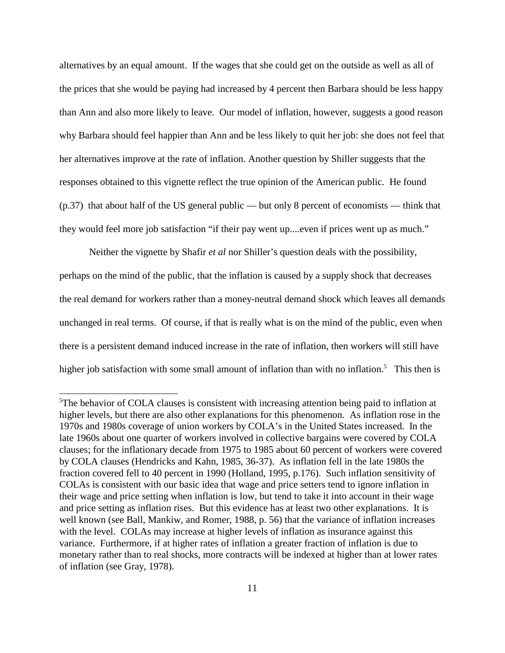alternatives by an equal amount. If the wages that she could get on the outside as well as all of the prices that she would be paying had increased by 4 percent then Barbara should be less happy than Ann and also more likely to leave. Our model of inflation, however, suggests a good reason why Barbara should feel happier than Ann and be less likely to quit her job: she does not feel that her alternatives improve at the rate of inflation. Another question by Shiller suggests that the responses obtained to this vignette reflect the true opinion of the American public. He found (p.37) that about half of the US general public — but only 8 percent of economists — think that they would feel more job satisfaction "if their pay went up....even if prices went up as much."

Neither the vignette by Shafir *et al* nor Shiller's question deals with the possibility, perhaps on the mind of the public, that the inflation is caused by a supply shock that decreases the real demand for workers rather than a money-neutral demand shock which leaves all demands unchanged in real terms.Of course, if that is really what is on the mind of the public, even when there is a persistent demand induced increase in the rate of inflation, then workers will still have higher job satisfaction with some small amount of inflation than with no inflation.<sup>5</sup> This then is

<sup>&</sup>lt;sup>5</sup>The behavior of COLA clauses is consistent with increasing attention being paid to inflation at higher levels, but there are also other explanations for this phenomenon. As inflation rose in the 1970s and 1980s coverage of union workers by COLA's in the United States increased. In the late 1960s about one quarter of workers involved in collective bargains were covered by COLA clauses; for the inflationary decade from 1975 to 1985 about 60 percent of workers were covered by COLA clauses (Hendricks and Kahn, 1985, 36-37). As inflation fell in the late 1980s the fraction covered fell to 40 percent in 1990 (Holland, 1995, p.176). Such inflation sensitivity of COLAs is consistent with our basic idea that wage and price setters tend to ignore inflation in their wage and price setting when inflation is low, but tend to take it into account in their wage and price setting as inflation rises. But this evidence has at least two other explanations. It is well known (see Ball, Mankiw, and Romer, 1988, p. 56) that the variance of inflation increases with the level. COLAs may increase at higher levels of inflation as insurance against this variance. Furthermore, if at higher rates of inflation a greater fraction of inflation is due to monetary rather than to real shocks, more contracts will be indexed at higher than at lower rates of inflation (see Gray, 1978).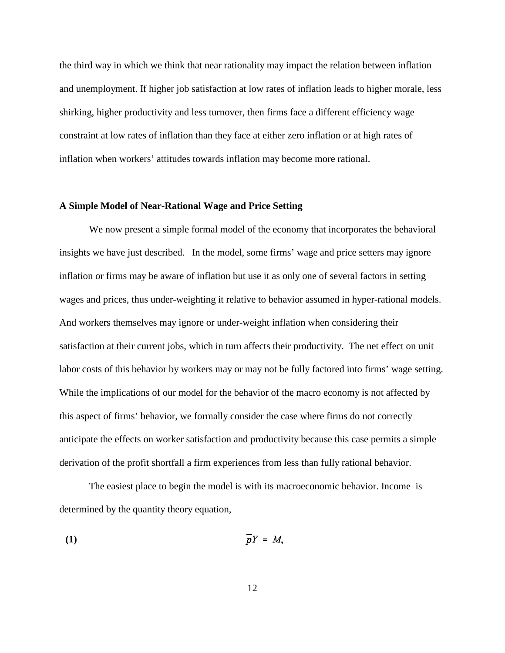the third way in which we think that near rationality may impact the relation between inflation and unemployment. If higher job satisfaction at low rates of inflation leads to higher morale, less shirking, higher productivity and less turnover, then firms face a different efficiency wage constraint at low rates of inflation than they face at either zero inflation or at high rates of inflation when workers' attitudes towards inflation may become more rational.

## **A Simple Model of Near-Rational Wage and Price Setting**

We now present a simple formal model of the economy that incorporates the behavioral insights we have just described. In the model, some firms' wage and price setters may ignore inflation or firms may be aware of inflation but use it as only one of several factors in setting wages and prices, thus under-weighting it relative to behavior assumed in hyper-rational models. And workers themselves may ignore or under-weight inflation when considering their satisfaction at their current jobs, which in turn affects their productivity. The net effect on unit labor costs of this behavior by workers may or may not be fully factored into firms' wage setting. While the implications of our model for the behavior of the macro economy is not affected by this aspect of firms' behavior, we formally consider the case where firms do not correctly anticipate the effects on worker satisfaction and productivity because this case permits a simple derivation of the profit shortfall a firm experiences from less than fully rational behavior.

The easiest place to begin the model is with its macroeconomic behavior. Income is determined by the quantity theory equation,

$$
\overline{p}Y = M,
$$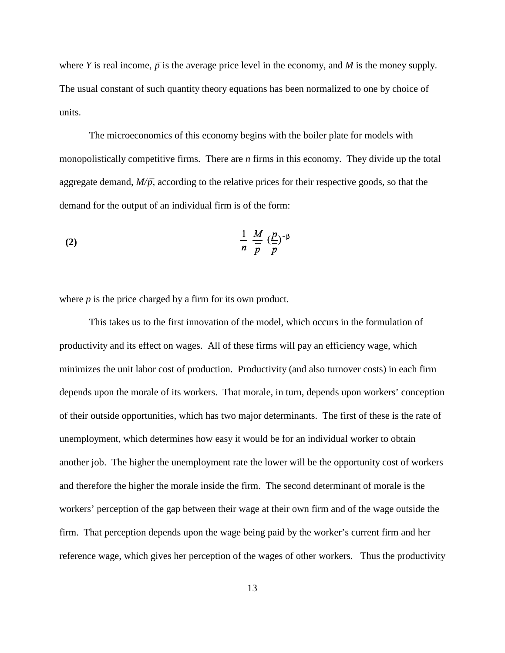where *Y* is real income,  $\bar{p}$  is the average price level in the economy, and *M* is the money supply. The usual constant of such quantity theory equations has been normalized to one by choice of units.

The microeconomics of this economy begins with the boiler plate for models with monopolistically competitive firms. There are *n* firms in this economy. They divide up the total aggregate demand,  $M/\bar{p}$ , according to the relative prices for their respective goods, so that the demand for the output of an individual firm is of the form:

(2) 
$$
\frac{1}{n} \frac{M}{\overline{p}} \left(\frac{p}{\overline{p}}\right)^{-\beta}
$$

where *p* is the price charged by a firm for its own product.

This takes us to the first innovation of the model, which occurs in the formulation of productivity and its effect on wages. All of these firms will pay an efficiency wage, which minimizes the unit labor cost of production. Productivity (and also turnover costs) in each firm depends upon the morale of its workers. That morale, in turn, depends upon workers' conception of their outside opportunities, which has two major determinants. The first of these is the rate of unemployment, which determines how easy it would be for an individual worker to obtain another job. The higher the unemployment rate the lower will be the opportunity cost of workers and therefore the higher the morale inside the firm. The second determinant of morale is the workers' perception of the gap between their wage at their own firm and of the wage outside the firm. That perception depends upon the wage being paid by the worker's current firm and her reference wage, which gives her perception of the wages of other workers. Thus the productivity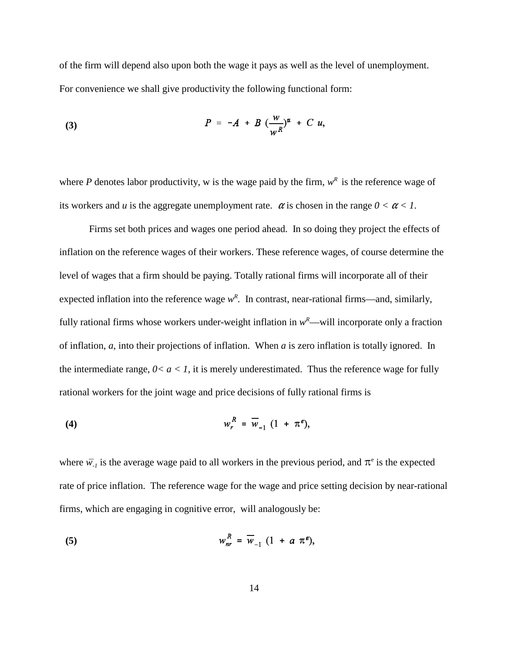of the firm will depend also upon both the wage it pays as well as the level of unemployment. For convenience we shall give productivity the following functional form:

(3) 
$$
P = -A + B \left(\frac{w}{w^R}\right)^{\alpha} + C u,
$$

where *P* denotes labor productivity, w is the wage paid by the firm,  $w^R$  is the reference wage of its workers and *u* is the aggregate unemployment rate.  $\alpha$  is chosen in the range  $0 < \alpha < 1$ .

Firms set both prices and wages one period ahead. In so doing they project the effects of inflation on the reference wages of their workers. These reference wages, of course determine the level of wages that a firm should be paying. Totally rational firms will incorporate all of their expected inflation into the reference wage  $w^R$ . In contrast, near-rational firms—and, similarly, fully rational firms whose workers under-weight inflation in  $w^R$ —will incorporate only a fraction of inflation, *a*, into their projections of inflation. When *a* is zero inflation is totally ignored. In the intermediate range,  $0 < a < 1$ , it is merely underestimated. Thus the reference wage for fully rational workers for the joint wage and price decisions of fully rational firms is

$$
w_r^R = \overline{w}_{-1} (1 + \pi^e),
$$

where  $\bar{w}_{-1}$  is the average wage paid to all workers in the previous period, and  $\pi^e$  is the expected rate of price inflation. The reference wage for the wage and price setting decision by near-rational firms, which are engaging in cognitive error, will analogously be:

$$
w_{nr}^R = \overline{w}_{-1} \ (1 + a \ \pi^e),
$$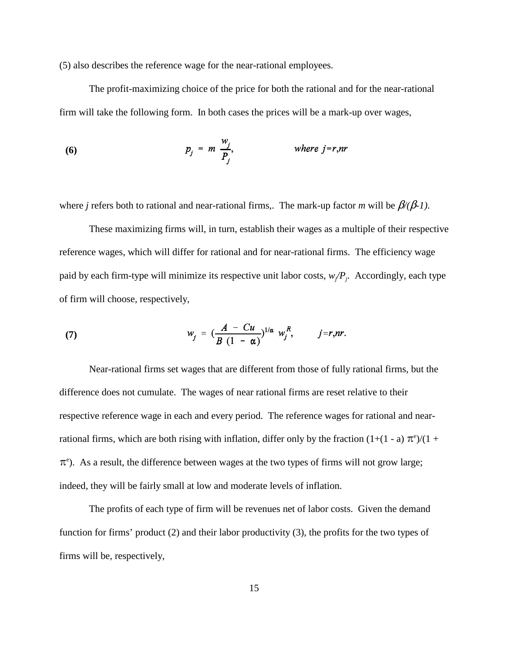(5) also describes the reference wage for the near-rational employees.

The profit-maximizing choice of the price for both the rational and for the near-rational firm will take the following form. In both cases the prices will be a mark-up over wages,

(6) 
$$
p_j = m \frac{w_j}{P_j}, \qquad \text{where } j = r, nr
$$

where *j* refers both to rational and near-rational firms,. The mark-up factor *m* will be  $\beta/(\beta-1)$ .

These maximizing firms will, in turn, establish their wages as a multiple of their respective reference wages, which will differ for rational and for near-rational firms. The efficiency wage paid by each firm-type will minimize its respective unit labor costs, *w<sup>j</sup> /Pj* . Accordingly, each type of firm will choose, respectively,

(7) 
$$
w_j = \left(\frac{A - Cu}{B (1 - \alpha)}\right)^{1/\alpha} w_j^R, \qquad j = r, nr.
$$

Near-rational firms set wages that are different from those of fully rational firms, but the difference does not cumulate. The wages of near rational firms are reset relative to their respective reference wage in each and every period. The reference wages for rational and nearrational firms, which are both rising with inflation, differ only by the fraction  $(1+(1 - a) \pi^e)/(1 + a)$  $\pi$ <sup>e</sup>). As a result, the difference between wages at the two types of firms will not grow large; indeed, they will be fairly small at low and moderate levels of inflation.

The profits of each type of firm will be revenues net of labor costs. Given the demand function for firms' product (2) and their labor productivity (3), the profits for the two types of firms will be, respectively,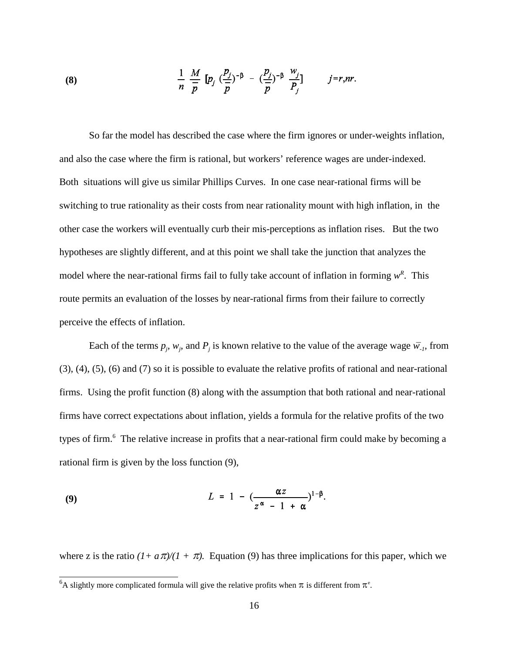(8) 
$$
\frac{1}{n} \frac{M}{\overline{p}} [p_j (\frac{p_j}{\overline{p}})^{-\beta} - (\frac{p_j}{\overline{p}})^{-\beta} \frac{w_j}{P_j}] \qquad j=r, nr.
$$

So far the model has described the case where the firm ignores or under-weights inflation, and also the case where the firm is rational, but workers' reference wages are under-indexed. Both situations will give us similar Phillips Curves. In one case near-rational firms will be switching to true rationality as their costs from near rationality mount with high inflation, in the other case the workers will eventually curb their mis-perceptions as inflation rises. But the two hypotheses are slightly different, and at this point we shall take the junction that analyzes the model where the near-rational firms fail to fully take account of inflation in forming  $w^R$ . This route permits an evaluation of the losses by near-rational firms from their failure to correctly perceive the effects of inflation.

Each of the terms  $p_j$ ,  $w_j$ , and  $P_j$  is known relative to the value of the average wage  $\bar{w_j}$ , from (3), (4), (5), (6) and (7) so it is possible to evaluate the relative profits of rational and near-rational firms. Using the profit function (8) along with the assumption that both rational and near-rational firms have correct expectations about inflation, yields a formula for the relative profits of the two types of firm.<sup>6</sup> The relative increase in profits that a near-rational firm could make by becoming a rational firm is given by the loss function (9),

$$
L = 1 - \left(\frac{\alpha z}{z^{\alpha} - 1 + \alpha}\right)^{1-\beta}
$$

where z is the ratio  $(1 + a\pi)/(1 + \pi)$ . Equation (9) has three implications for this paper, which we

<sup>&</sup>lt;sup>6</sup>A slightly more complicated formula will give the relative profits when  $\pi$  is different from  $\pi$ <sup>e</sup>.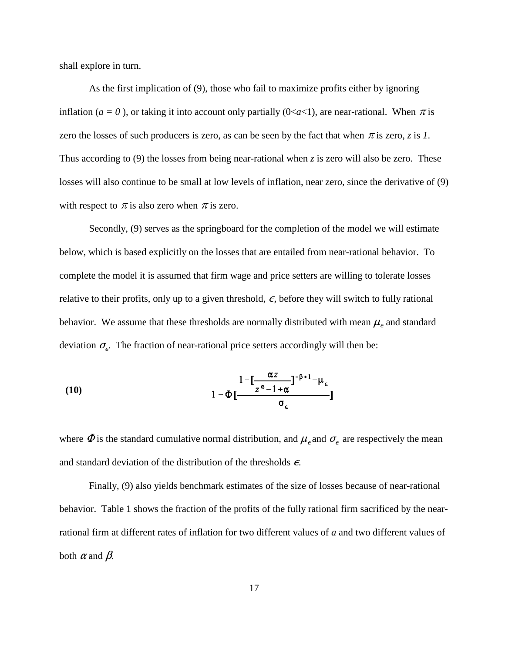shall explore in turn.

As the first implication of (9), those who fail to maximize profits either by ignoring inflation ( $a = 0$ ), or taking it into account only partially ( $0 \le a \le 1$ ), are near-rational. When  $\pi$  is zero the losses of such producers is zero, as can be seen by the fact that when  $\pi$  is zero, *z* is *1*. Thus according to (9) the losses from being near-rational when *z* is zero will also be zero. These losses will also continue to be small at low levels of inflation, near zero, since the derivative of (9) with respect to  $\pi$  is also zero when  $\pi$  is zero.

Secondly, (9) serves as the springboard for the completion of the model we will estimate below, which is based explicitly on the losses that are entailed from near-rational behavior. To complete the model it is assumed that firm wage and price setters are willing to tolerate losses relative to their profits, only up to a given threshold,  $\epsilon$ , before they will switch to fully rational behavior. We assume that these thresholds are normally distributed with mean  $\mu_{\epsilon}$  and standard deviation  $\sigma_{\epsilon}$ . The fraction of near-rational price setters accordingly will then be:

(10) 
$$
\frac{1 - \left[\frac{\alpha z}{z^{\alpha} - 1 + \alpha}\right]^{-\beta + 1} - \mu_{\epsilon}}{1 - \Phi\left[\frac{1 - \left[\frac{\alpha z}{z^{\alpha} - 1 + \alpha}\right]^{-\beta + 1} - \mu_{\epsilon}}{\sigma_{\epsilon}}\right]}
$$

where  $\Phi$  is the standard cumulative normal distribution, and  $\mu_{\epsilon}$  and  $\sigma_{\epsilon}$  are respectively the mean and standard deviation of the distribution of the thresholds  $\epsilon$ .

Finally, (9) also yields benchmark estimates of the size of losses because of near-rational behavior. Table 1 shows the fraction of the profits of the fully rational firm sacrificed by the nearrational firm at different rates of inflation for two different values of *a* and two different values of both  $\alpha$  and  $\beta$ .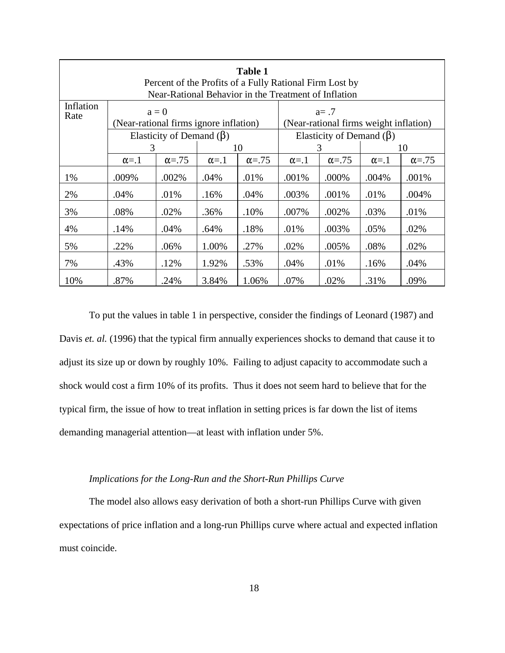| <b>Table 1</b><br>Percent of the Profits of a Fully Rational Firm Lost by<br>Near-Rational Behavior in the Treatment of Inflation |                                        |                |              |                |                                                    |                |              |                |  |  |
|-----------------------------------------------------------------------------------------------------------------------------------|----------------------------------------|----------------|--------------|----------------|----------------------------------------------------|----------------|--------------|----------------|--|--|
| Inflation<br>Rate                                                                                                                 | (Near-rational firms ignore inflation) | $a = 0$        |              |                | $a = .7$<br>(Near-rational firms weight inflation) |                |              |                |  |  |
|                                                                                                                                   | Elasticity of Demand $(\beta)$         |                |              |                | Elasticity of Demand $(\beta)$                     |                |              |                |  |  |
|                                                                                                                                   | 3                                      |                | 10           |                | 3                                                  |                | 10           |                |  |  |
|                                                                                                                                   | $\alpha = 1$                           | $\alpha = .75$ | $\alpha = 1$ | $\alpha = .75$ | $\alpha = 1$                                       | $\alpha = .75$ | $\alpha = 1$ | $\alpha = .75$ |  |  |
| 1%                                                                                                                                | .009%                                  | .002%          | .04%         | .01%           | .001%                                              | .000%          | .004%        | .001%          |  |  |
| 2%                                                                                                                                | .04%                                   | .01%           | .16%         | .04%           | .003%                                              | .001%          | .01%         | .004%          |  |  |
| 3%                                                                                                                                | .08%                                   | .02%           | .36%         | .10%           | .007%                                              | .002%          | .03%         | .01%           |  |  |
| 4%                                                                                                                                | .14%                                   | .04%           | .64%         | .18%           | .01%                                               | .003%          | .05%         | .02%           |  |  |
| 5%                                                                                                                                | .22%                                   | .06%           | 1.00%        | .27%           | .02%                                               | .005%          | .08%         | .02%           |  |  |
| 7%                                                                                                                                | .43%                                   | .12%           | 1.92%        | .53%           | .04%                                               | .01%           | .16%         | .04%           |  |  |
| 10%                                                                                                                               | .87%                                   | .24%           | 3.84%        | 1.06%          | .07%                                               | .02%           | .31%         | .09%           |  |  |

To put the values in table 1 in perspective, consider the findings of Leonard (1987) and Davis *et. al.* (1996) that the typical firm annually experiences shocks to demand that cause it to adjust its size up or down by roughly 10%. Failing to adjust capacity to accommodate such a shock would cost a firm 10% of its profits. Thus it does not seem hard to believe that for the typical firm, the issue of how to treat inflation in setting prices is far down the list of items demanding managerial attention—at least with inflation under 5%.

### *Implications for the Long-Run and the Short-Run Phillips Curve*

The model also allows easy derivation of both a short-run Phillips Curve with given expectations of price inflation and a long-run Phillips curve where actual and expected inflation must coincide.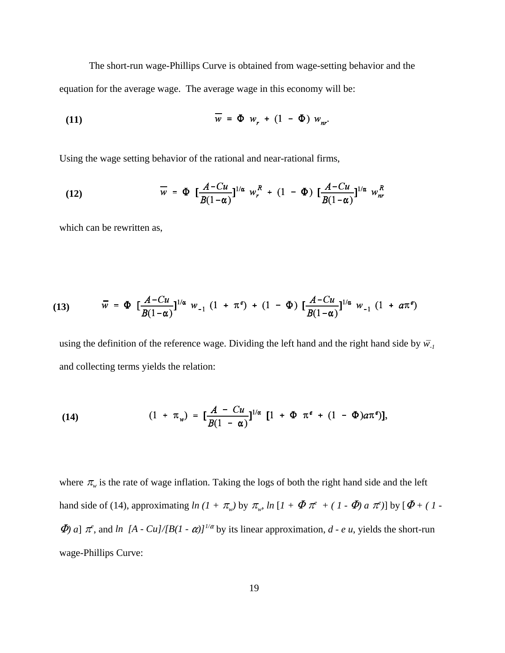The short-run wage-Phillips Curve is obtained from wage-setting behavior and the equation for the average wage. The average wage in this economy will be:

(11) 
$$
\overline{w} = \Phi w_r + (1 - \Phi) w_{nr}
$$

Using the wage setting behavior of the rational and near-rational firms,

(12) 
$$
\overline{w} = \Phi \left[ \frac{A - Cu}{B(1 - \alpha)} \right]^{1/\alpha} w_r^R + (1 - \Phi) \left[ \frac{A - Cu}{B(1 - \alpha)} \right]^{1/\alpha} w_{nr}^R
$$

which can be rewritten as,

(13) 
$$
\overline{w} = \Phi \left[ \frac{A - Cu}{B(1 - \alpha)} \right]^{1/\alpha} w_{-1} (1 + \pi^e) + (1 - \Phi) \left[ \frac{A - Cu}{B(1 - \alpha)} \right]^{1/\alpha} w_{-1} (1 + a\pi^e)
$$

using the definition of the reference wage. Dividing the left hand and the right hand side by  $\bar{w_1}$ and collecting terms yields the relation:

(14) 
$$
(1 + \pi_w) = \left[\frac{A - Cu}{B(1 - \alpha)}\right]^{1/\alpha} \left[1 + \Phi \pi^e + (1 - \Phi)a\pi^e\right],
$$

where  $\pi_{w}$  is the rate of wage inflation. Taking the logs of both the right hand side and the left hand side of (14), approximating *ln* (*1* +  $\pi_w$ ) by  $\pi_w$ , *ln* [*1* +  $\Phi \pi^e$  + ( *1* -  $\Phi$ ) *a*  $\pi^e$ )] by [ $\Phi$  + ( *1* - $\Phi$  *a*]  $\pi^e$ , and *ln* [A - Cu]/[B(1 -  $\alpha$ )]<sup>1/ $\alpha$ </sup> by its linear approximation, *d* - *e u*, yields the short-run wage-Phillips Curve: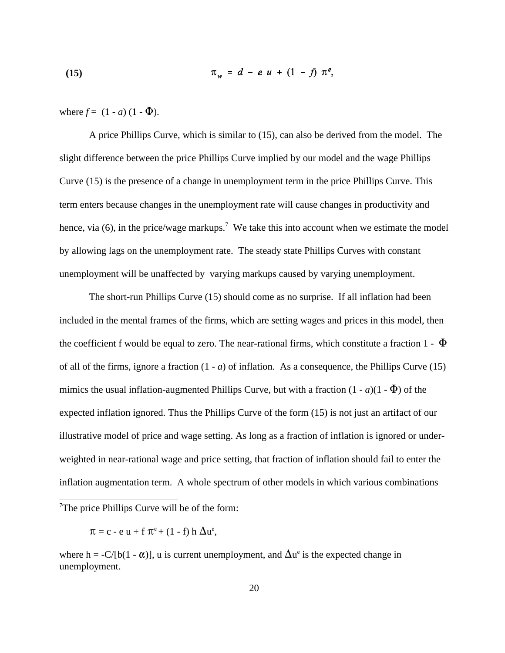(15) 
$$
\pi_w = d - e \ u + (1 - f) \ \pi^e
$$

where  $f = (1 - a)(1 - \Phi)$ .

A price Phillips Curve, which is similar to (15), can also be derived from the model. The slight difference between the price Phillips Curve implied by our model and the wage Phillips Curve (15) is the presence of a change in unemployment term in the price Phillips Curve. This term enters because changes in the unemployment rate will cause changes in productivity and hence, via (6), in the price/wage markups.<sup>7</sup> We take this into account when we estimate the model by allowing lags on the unemployment rate. The steady state Phillips Curves with constant unemployment will be unaffected by varying markups caused by varying unemployment.

The short-run Phillips Curve (15) should come as no surprise. If all inflation had been included in the mental frames of the firms, which are setting wages and prices in this model, then the coefficient f would be equal to zero. The near-rational firms, which constitute a fraction 1 -  $\Phi$ of all of the firms, ignore a fraction  $(1 - a)$  of inflation. As a consequence, the Phillips Curve  $(15)$ mimics the usual inflation-augmented Phillips Curve, but with a fraction  $(1 - a)(1 - \Phi)$  of the expected inflation ignored. Thus the Phillips Curve of the form (15) is not just an artifact of our illustrative model of price and wage setting. As long as a fraction of inflation is ignored or underweighted in near-rational wage and price setting, that fraction of inflation should fail to enter the inflation augmentation term. A whole spectrum of other models in which various combinations

 $T$ The price Phillips Curve will be of the form:

 $\pi = c - e u + f \pi^{e} + (1 - f) h \Delta u^{e}$ ,

where h = -C/[b(1 -  $\alpha$ )], u is current unemployment, and  $\Delta u^e$  is the expected change in unemployment.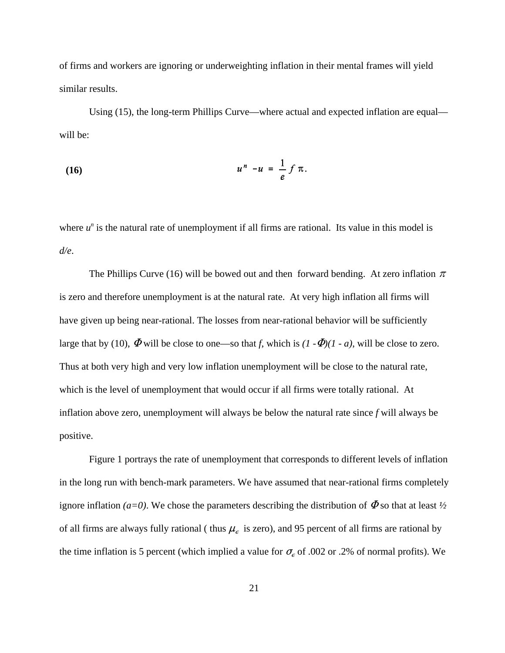of firms and workers are ignoring or underweighting inflation in their mental frames will yield similar results.

Using (15), the long-term Phillips Curve—where actual and expected inflation are equal will be:

$$
u^n - u = \frac{1}{e} f \pi.
$$

where  $u^n$  is the natural rate of unemployment if all firms are rational. Its value in this model is *d/e*.

The Phillips Curve (16) will be bowed out and then forward bending. At zero inflation  $\pi$ is zero and therefore unemployment is at the natural rate. At very high inflation all firms will have given up being near-rational. The losses from near-rational behavior will be sufficiently large that by (10),  $\Phi$  will be close to one—so that *f*, which is  $(I - \Phi)(I - a)$ , will be close to zero. Thus at both very high and very low inflation unemployment will be close to the natural rate, which is the level of unemployment that would occur if all firms were totally rational. At inflation above zero, unemployment will always be below the natural rate since *f* will always be positive.

Figure 1 portrays the rate of unemployment that corresponds to different levels of inflation in the long run with bench-mark parameters. We have assumed that near-rational firms completely ignore inflation *(a=0)*. We chose the parameters describing the distribution of  $\Phi$  so that at least  $\frac{1}{2}$ of all firms are always fully rational ( thus  $\mu_{\epsilon}$  is zero), and 95 percent of all firms are rational by the time inflation is 5 percent (which implied a value for  $\sigma_{\epsilon}$  of .002 or .2% of normal profits). We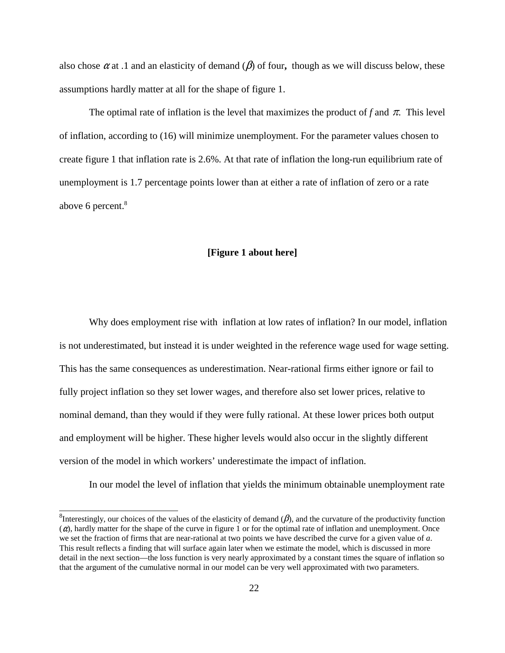also chose  $\alpha$  at .1 and an elasticity of demand ( $\beta$ ) of four, though as we will discuss below, these assumptions hardly matter at all for the shape of figure 1.

The optimal rate of inflation is the level that maximizes the product of f and  $\pi$ . This level of inflation, according to (16) will minimize unemployment. For the parameter values chosen to create figure 1 that inflation rate is 2.6%. At that rate of inflation the long-run equilibrium rate of unemployment is 1.7 percentage points lower than at either a rate of inflation of zero or a rate above 6 percent. 8

#### **[Figure 1 about here]**

Why does employment rise with inflation at low rates of inflation? In our model, inflation is not underestimated, but instead it is under weighted in the reference wage used for wage setting. This has the same consequences as underestimation. Near-rational firms either ignore or fail to fully project inflation so they set lower wages, and therefore also set lower prices, relative to nominal demand, than they would if they were fully rational. At these lower prices both output and employment will be higher. These higher levels would also occur in the slightly different version of the model in which workers' underestimate the impact of inflation.

In our model the level of inflation that yields the minimum obtainable unemployment rate

<sup>&</sup>lt;sup>8</sup>Interestingly, our choices of the values of the elasticity of demand ( $\beta$ ), and the curvature of the productivity function  $(a)$ , hardly matter for the shape of the curve in figure 1 or for the optimal rate of inflation and unemployment. Once we set the fraction of firms that are near-rational at two points we have described the curve for a given value of *a*. This result reflects a finding that will surface again later when we estimate the model, which is discussed in more detail in the next section—the loss function is very nearly approximated by a constant times the square of inflation so that the argument of the cumulative normal in our model can be very well approximated with two parameters.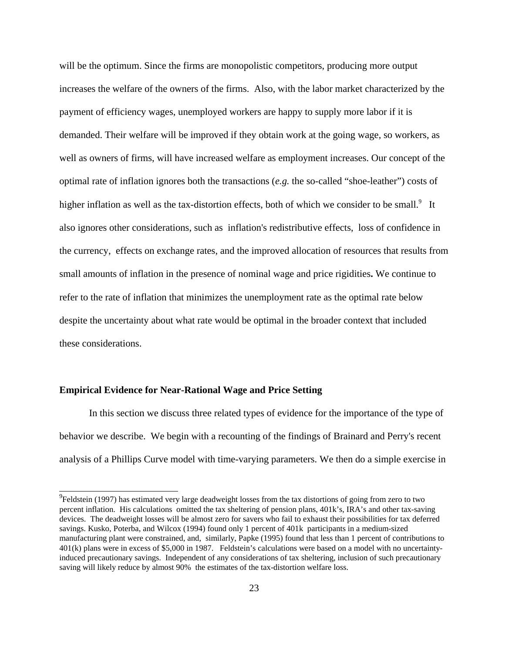will be the optimum. Since the firms are monopolistic competitors, producing more output increases the welfare of the owners of the firms. Also, with the labor market characterized by the payment of efficiency wages, unemployed workers are happy to supply more labor if it is demanded. Their welfare will be improved if they obtain work at the going wage, so workers, as well as owners of firms, will have increased welfare as employment increases. Our concept of the optimal rate of inflation ignores both the transactions (*e.g.* the so-called "shoe-leather") costs of higher inflation as well as the tax-distortion effects, both of which we consider to be small. $9$  It also ignores other considerations, such as inflation's redistributive effects, loss of confidence in the currency, effects on exchange rates, and the improved allocation of resources that results from small amounts of inflation in the presence of nominal wage and price rigidities**.** We continue to refer to the rate of inflation that minimizes the unemployment rate as the optimal rate below despite the uncertainty about what rate would be optimal in the broader context that included these considerations.

## **Empirical Evidence for Near-Rational Wage and Price Setting**

In this section we discuss three related types of evidence for the importance of the type of behavior we describe. We begin with a recounting of the findings of Brainard and Perry's recent analysis of a Phillips Curve model with time-varying parameters. We then do a simple exercise in

 $^{9}$ Feldstein (1997) has estimated very large deadweight losses from the tax distortions of going from zero to two percent inflation. His calculations omitted the tax sheltering of pension plans, 401k's, IRA's and other tax-saving devices. The deadweight losses will be almost zero for savers who fail to exhaust their possibilities for tax deferred savings. Kusko, Poterba, and Wilcox (1994) found only 1 percent of 401k participants in a medium-sized manufacturing plant were constrained, and, similarly, Papke (1995) found that less than 1 percent of contributions to 401(k) plans were in excess of \$5,000 in 1987. Feldstein's calculations were based on a model with no uncertaintyinduced precautionary savings. Independent of any considerations of tax sheltering, inclusion of such precautionary saving will likely reduce by almost 90% the estimates of the tax-distortion welfare loss.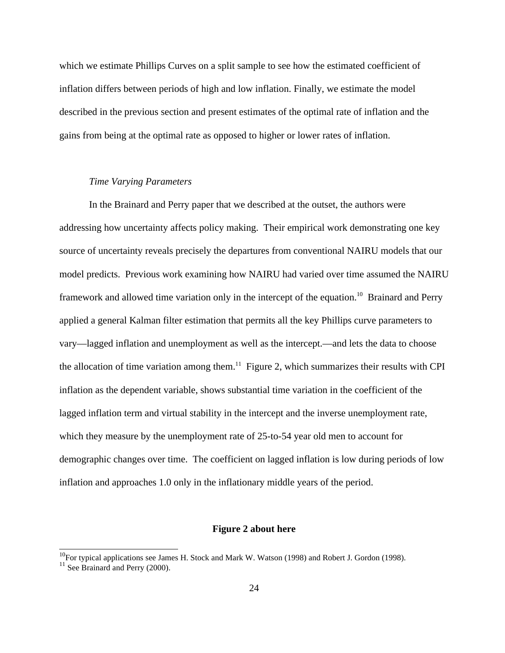which we estimate Phillips Curves on a split sample to see how the estimated coefficient of inflation differs between periods of high and low inflation. Finally, we estimate the model described in the previous section and present estimates of the optimal rate of inflation and the gains from being at the optimal rate as opposed to higher or lower rates of inflation.

## *Time Varying Parameters*

In the Brainard and Perry paper that we described at the outset, the authors were addressing how uncertainty affects policy making. Their empirical work demonstrating one key source of uncertainty reveals precisely the departures from conventional NAIRU models that our model predicts. Previous work examining how NAIRU had varied over time assumed the NAIRU framework and allowed time variation only in the intercept of the equation.<sup>10</sup> Brainard and Perry applied a general Kalman filter estimation that permits all the key Phillips curve parameters to vary—lagged inflation and unemployment as well as the intercept.—and lets the data to choose the allocation of time variation among them.<sup>11</sup> Figure 2, which summarizes their results with CPI inflation as the dependent variable, shows substantial time variation in the coefficient of the lagged inflation term and virtual stability in the intercept and the inverse unemployment rate, which they measure by the unemployment rate of 25-to-54 year old men to account for demographic changes over time. The coefficient on lagged inflation is low during periods of low inflation and approaches 1.0 only in the inflationary middle years of the period.

#### **Figure 2 about here**

<sup>&</sup>lt;sup>10</sup>For typical applications see James H. Stock and Mark W. Watson (1998) and Robert J. Gordon (1998).

<sup>&</sup>lt;sup>11</sup> See Brainard and Perry (2000).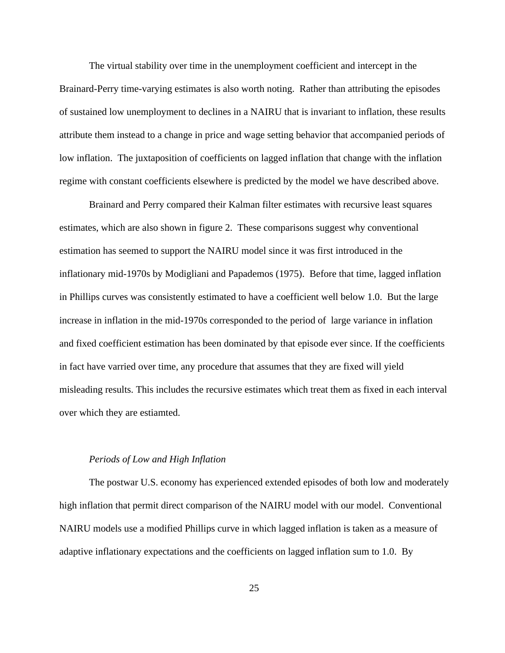The virtual stability over time in the unemployment coefficient and intercept in the Brainard-Perry time-varying estimates is also worth noting. Rather than attributing the episodes of sustained low unemployment to declines in a NAIRU that is invariant to inflation, these results attribute them instead to a change in price and wage setting behavior that accompanied periods of low inflation. The juxtaposition of coefficients on lagged inflation that change with the inflation regime with constant coefficients elsewhere is predicted by the model we have described above.

Brainard and Perry compared their Kalman filter estimates with recursive least squares estimates, which are also shown in figure 2. These comparisons suggest why conventional estimation has seemed to support the NAIRU model since it was first introduced in the inflationary mid-1970s by Modigliani and Papademos (1975). Before that time, lagged inflation in Phillips curves was consistently estimated to have a coefficient well below 1.0. But the large increase in inflation in the mid-1970s corresponded to the period of large variance in inflation and fixed coefficient estimation has been dominated by that episode ever since. If the coefficients in fact have varried over time, any procedure that assumes that they are fixed will yield misleading results. This includes the recursive estimates which treat them as fixed in each interval over which they are estiamted.

## *Periods of Low and High Inflation*

The postwar U.S. economy has experienced extended episodes of both low and moderately high inflation that permit direct comparison of the NAIRU model with our model. Conventional NAIRU models use a modified Phillips curve in which lagged inflation is taken as a measure of adaptive inflationary expectations and the coefficients on lagged inflation sum to 1.0. By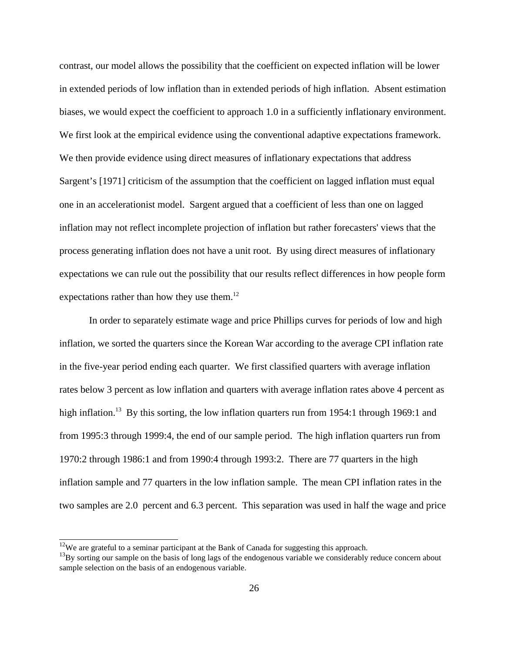contrast, our model allows the possibility that the coefficient on expected inflation will be lower in extended periods of low inflation than in extended periods of high inflation. Absent estimation biases, we would expect the coefficient to approach 1.0 in a sufficiently inflationary environment. We first look at the empirical evidence using the conventional adaptive expectations framework. We then provide evidence using direct measures of inflationary expectations that address Sargent's [1971] criticism of the assumption that the coefficient on lagged inflation must equal one in an accelerationist model. Sargent argued that a coefficient of less than one on lagged inflation may not reflect incomplete projection of inflation but rather forecasters' views that the process generating inflation does not have a unit root. By using direct measures of inflationary expectations we can rule out the possibility that our results reflect differences in how people form expectations rather than how they use them. $^{12}$ 

 In order to separately estimate wage and price Phillips curves for periods of low and high inflation, we sorted the quarters since the Korean War according to the average CPI inflation rate in the five-year period ending each quarter. We first classified quarters with average inflation rates below 3 percent as low inflation and quarters with average inflation rates above 4 percent as high inflation.<sup>13</sup> By this sorting, the low inflation quarters run from 1954:1 through 1969:1 and from 1995:3 through 1999:4, the end of our sample period. The high inflation quarters run from 1970:2 through 1986:1 and from 1990:4 through 1993:2. There are 77 quarters in the high inflation sample and 77 quarters in the low inflation sample. The mean CPI inflation rates in the two samples are 2.0 percent and 6.3 percent. This separation was used in half the wage and price

 $12$ We are grateful to a seminar participant at the Bank of Canada for suggesting this approach.

 $13By$  sorting our sample on the basis of long lags of the endogenous variable we considerably reduce concern about sample selection on the basis of an endogenous variable.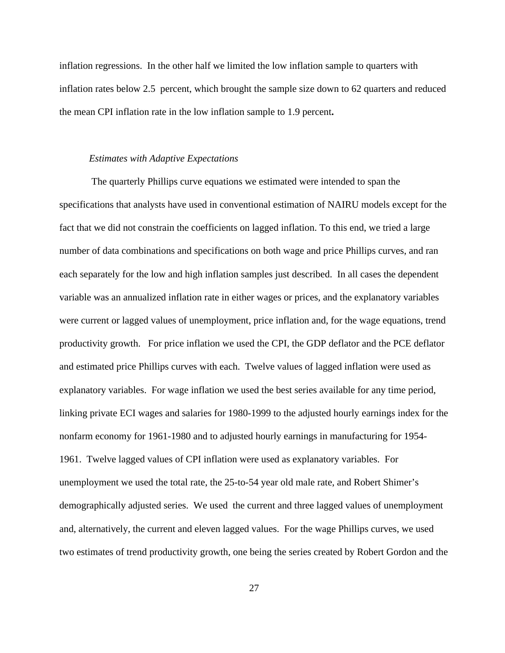inflation regressions. In the other half we limited the low inflation sample to quarters with inflation rates below 2.5 percent, which brought the sample size down to 62 quarters and reduced the mean CPI inflation rate in the low inflation sample to 1.9 percent**.**

### *Estimates with Adaptive Expectations*

 The quarterly Phillips curve equations we estimated were intended to span the specifications that analysts have used in conventional estimation of NAIRU models except for the fact that we did not constrain the coefficients on lagged inflation. To this end, we tried a large number of data combinations and specifications on both wage and price Phillips curves, and ran each separately for the low and high inflation samples just described. In all cases the dependent variable was an annualized inflation rate in either wages or prices, and the explanatory variables were current or lagged values of unemployment, price inflation and, for the wage equations, trend productivity growth. For price inflation we used the CPI, the GDP deflator and the PCE deflator and estimated price Phillips curves with each. Twelve values of lagged inflation were used as explanatory variables. For wage inflation we used the best series available for any time period, linking private ECI wages and salaries for 1980-1999 to the adjusted hourly earnings index for the nonfarm economy for 1961-1980 and to adjusted hourly earnings in manufacturing for 1954- 1961. Twelve lagged values of CPI inflation were used as explanatory variables. For unemployment we used the total rate, the 25-to-54 year old male rate, and Robert Shimer's demographically adjusted series. We used the current and three lagged values of unemployment and, alternatively, the current and eleven lagged values. For the wage Phillips curves, we used two estimates of trend productivity growth, one being the series created by Robert Gordon and the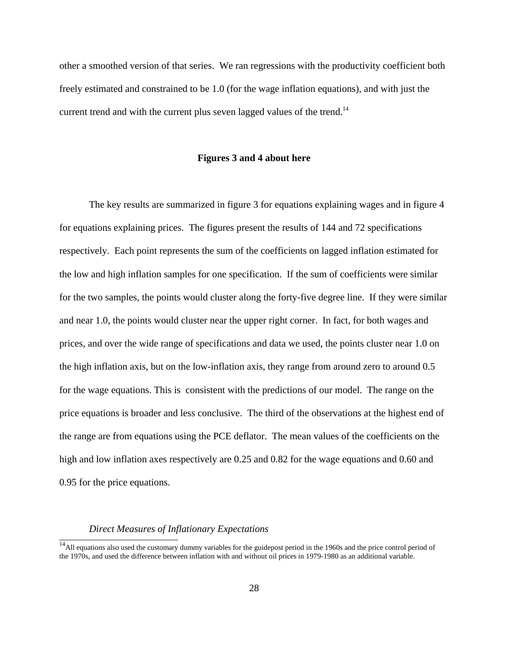other a smoothed version of that series. We ran regressions with the productivity coefficient both freely estimated and constrained to be 1.0 (for the wage inflation equations), and with just the current trend and with the current plus seven lagged values of the trend.<sup>14</sup>

#### **Figures 3 and 4 about here**

The key results are summarized in figure 3 for equations explaining wages and in figure 4 for equations explaining prices. The figures present the results of 144 and 72 specifications respectively.Each point represents the sum of the coefficients on lagged inflation estimated for the low and high inflation samples for one specification. If the sum of coefficients were similar for the two samples, the points would cluster along the forty-five degree line. If they were similar and near 1.0, the points would cluster near the upper right corner. In fact, for both wages and prices, and over the wide range of specifications and data we used, the points cluster near 1.0 on the high inflation axis, but on the low-inflation axis, they range from around zero to around 0.5 for the wage equations. This is consistent with the predictions of our model. The range on the price equations is broader and less conclusive. The third of the observations at the highest end of the range are from equations using the PCE deflator. The mean values of the coefficients on the high and low inflation axes respectively are 0.25 and 0.82 for the wage equations and 0.60 and 0.95 for the price equations.

### *Direct Measures of Inflationary Expectations*

 $\frac{14}{14}$ All equations also used the customary dummy variables for the guidepost period in the 1960s and the price control period of the 1970s, and used the difference between inflation with and without oil prices in 1979-1980 as an additional variable.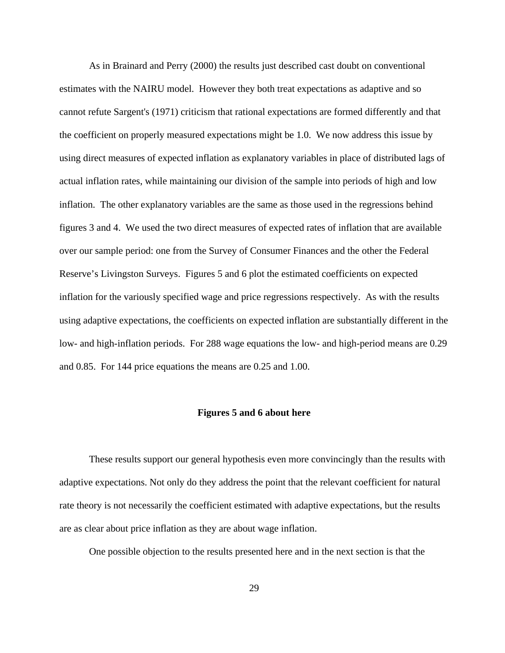As in Brainard and Perry (2000) the results just described cast doubt on conventional estimates with the NAIRU model. However they both treat expectations as adaptive and so cannot refute Sargent's (1971) criticism that rational expectations are formed differently and that the coefficient on properly measured expectations might be 1.0. We now address this issue by using direct measures of expected inflation as explanatory variables in place of distributed lags of actual inflation rates, while maintaining our division of the sample into periods of high and low inflation. The other explanatory variables are the same as those used in the regressions behind figures 3 and 4. We used the two direct measures of expected rates of inflation that are available over our sample period: one from the Survey of Consumer Finances and the other the Federal Reserve's Livingston Surveys. Figures 5 and 6 plot the estimated coefficients on expected inflation for the variously specified wage and price regressions respectively. As with the results using adaptive expectations, the coefficients on expected inflation are substantially different in the low- and high-inflation periods. For 288 wage equations the low- and high-period means are 0.29 and 0.85. For 144 price equations the means are 0.25 and 1.00.

## **Figures 5 and 6 about here**

These results support our general hypothesis even more convincingly than the results with adaptive expectations. Not only do they address the point that the relevant coefficient for natural rate theory is not necessarily the coefficient estimated with adaptive expectations, but the results are as clear about price inflation as they are about wage inflation.

One possible objection to the results presented here and in the next section is that the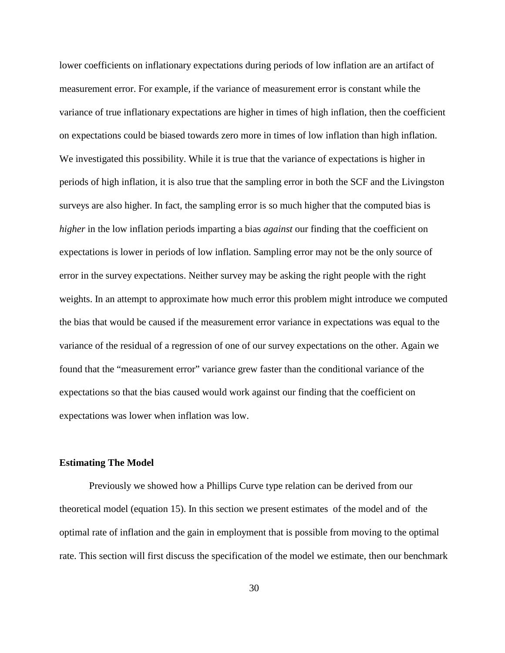lower coefficients on inflationary expectations during periods of low inflation are an artifact of measurement error. For example, if the variance of measurement error is constant while the variance of true inflationary expectations are higher in times of high inflation, then the coefficient on expectations could be biased towards zero more in times of low inflation than high inflation. We investigated this possibility. While it is true that the variance of expectations is higher in periods of high inflation, it is also true that the sampling error in both the SCF and the Livingston surveys are also higher. In fact, the sampling error is so much higher that the computed bias is *higher* in the low inflation periods imparting a bias *against* our finding that the coefficient on expectations is lower in periods of low inflation. Sampling error may not be the only source of error in the survey expectations. Neither survey may be asking the right people with the right weights. In an attempt to approximate how much error this problem might introduce we computed the bias that would be caused if the measurement error variance in expectations was equal to the variance of the residual of a regression of one of our survey expectations on the other. Again we found that the "measurement error" variance grew faster than the conditional variance of the expectations so that the bias caused would work against our finding that the coefficient on expectations was lower when inflation was low.

## **Estimating The Model**

Previously we showed how a Phillips Curve type relation can be derived from our theoretical model (equation 15). In this section we present estimates of the model and of the optimal rate of inflation and the gain in employment that is possible from moving to the optimal rate. This section will first discuss the specification of the model we estimate, then our benchmark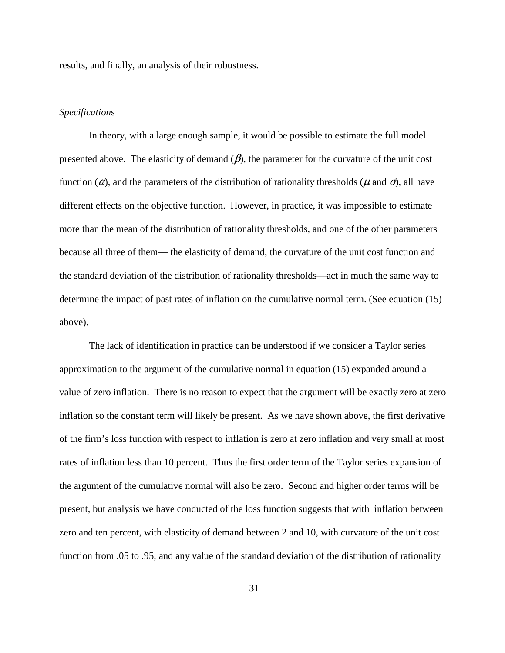results, and finally, an analysis of their robustness.

## *Specification*s

In theory, with a large enough sample, it would be possible to estimate the full model presented above. The elasticity of demand  $(\beta)$ , the parameter for the curvature of the unit cost function ( $\alpha$ ), and the parameters of the distribution of rationality thresholds ( $\mu$  and  $\sigma$ ), all have different effects on the objective function. However, in practice, it was impossible to estimate more than the mean of the distribution of rationality thresholds, and one of the other parameters because all three of them— the elasticity of demand, the curvature of the unit cost function and the standard deviation of the distribution of rationality thresholds—act in much the same way to determine the impact of past rates of inflation on the cumulative normal term. (See equation (15) above).

The lack of identification in practice can be understood if we consider a Taylor series approximation to the argument of the cumulative normal in equation (15) expanded around a value of zero inflation. There is no reason to expect that the argument will be exactly zero at zero inflation so the constant term will likely be present. As we have shown above, the first derivative of the firm's loss function with respect to inflation is zero at zero inflation and very small at most rates of inflation less than 10 percent. Thus the first order term of the Taylor series expansion of the argument of the cumulative normal will also be zero. Second and higher order terms will be present, but analysis we have conducted of the loss function suggests that with inflation between zero and ten percent, with elasticity of demand between 2 and 10, with curvature of the unit cost function from .05 to .95, and any value of the standard deviation of the distribution of rationality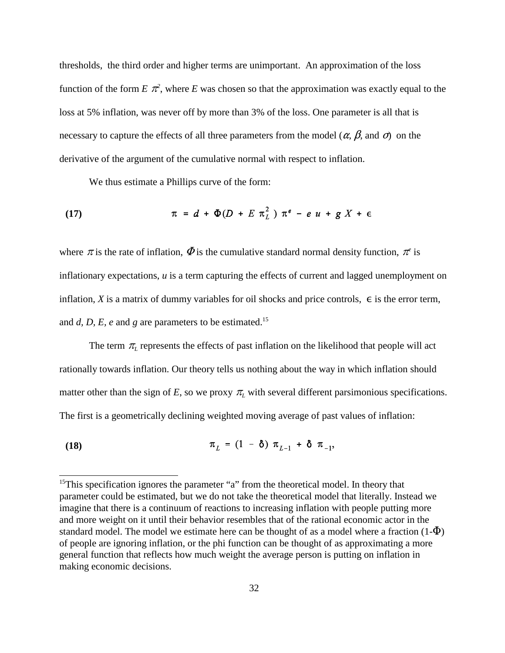thresholds, the third order and higher terms are unimportant. An approximation of the loss function of the form  $E \pi^2$ , where  $E$  was chosen so that the approximation was exactly equal to the loss at 5% inflation, was never off by more than 3% of the loss. One parameter is all that is necessary to capture the effects of all three parameters from the model ( $\alpha$ ,  $\beta$ , and  $\sigma$ ) on the derivative of the argument of the cumulative normal with respect to inflation.

We thus estimate a Phillips curve of the form:

(17) 
$$
\pi = d + \Phi(D + E \pi_L^2) \pi^e - e u + g X + \epsilon
$$

where  $\pi$  is the rate of inflation,  $\Phi$  is the cumulative standard normal density function,  $\pi$ <sup>e</sup> is inflationary expectations, *u* is a term capturing the effects of current and lagged unemployment on inflation, *X* is a matrix of dummy variables for oil shocks and price controls,  $\epsilon$  is the error term, and  $d$ ,  $D$ ,  $E$ ,  $e$  and  $g$  are parameters to be estimated.<sup>15</sup>

The term  $\pi$ <sub>L</sub> represents the effects of past inflation on the likelihood that people will act rationally towards inflation. Our theory tells us nothing about the way in which inflation should matter other than the sign of *E*, so we proxy  $\pi$ <sub>*L*</sub> with several different parsimonious specifications. The first is a geometrically declining weighted moving average of past values of inflation:

 $\pi_{I} = (1 - \delta) \pi_{I-1} + \delta \pi_{-1}$ **(18)**

<sup>&</sup>lt;sup>15</sup>This specification ignores the parameter "a" from the theoretical model. In theory that parameter could be estimated, but we do not take the theoretical model that literally. Instead we imagine that there is a continuum of reactions to increasing inflation with people putting more and more weight on it until their behavior resembles that of the rational economic actor in the standard model. The model we estimate here can be thought of as a model where a fraction  $(1-\Phi)$ of people are ignoring inflation, or the phi function can be thought of as approximating a more general function that reflects how much weight the average person is putting on inflation in making economic decisions.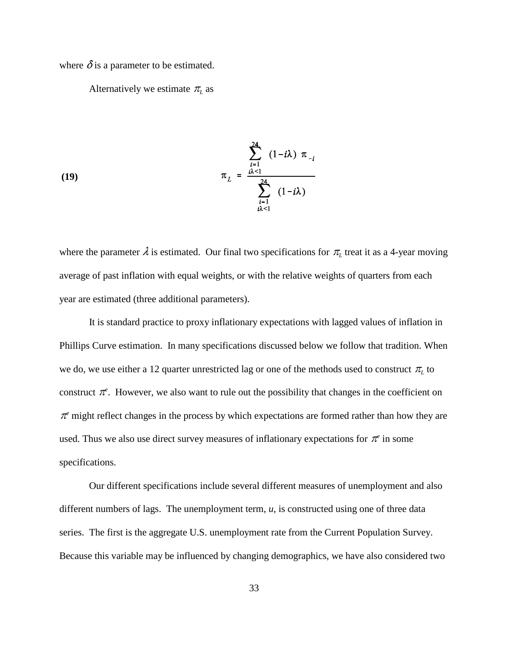where  $\delta$  is a parameter to be estimated.

Alternatively we estimate  $\pi$ <sub>*L*</sub> as

(19) 
$$
\pi_L = \frac{\sum_{i=1}^{24} (1 - i\lambda) \pi_{-i}}{\sum_{\substack{i=1 \ i\lambda < 1}}^{24} (1 - i\lambda)}
$$

where the parameter  $\lambda$  is estimated. Our final two specifications for  $\pi$ <sub>L</sub> treat it as a 4-year moving average of past inflation with equal weights, or with the relative weights of quarters from each year are estimated (three additional parameters).

It is standard practice to proxy inflationary expectations with lagged values of inflation in Phillips Curve estimation. In many specifications discussed below we follow that tradition. When we do, we use either a 12 quarter unrestricted lag or one of the methods used to construct  $\pi_{L}$  to construct  $\pi^e$ . However, we also want to rule out the possibility that changes in the coefficient on  $\pi$ <sup>e</sup> might reflect changes in the process by which expectations are formed rather than how they are used. Thus we also use direct survey measures of inflationary expectations for  $\pi^e$  in some specifications.

Our different specifications include several different measures of unemployment and also different numbers of lags. The unemployment term, *u*, is constructed using one of three data series. The first is the aggregate U.S. unemployment rate from the Current Population Survey. Because this variable may be influenced by changing demographics, we have also considered two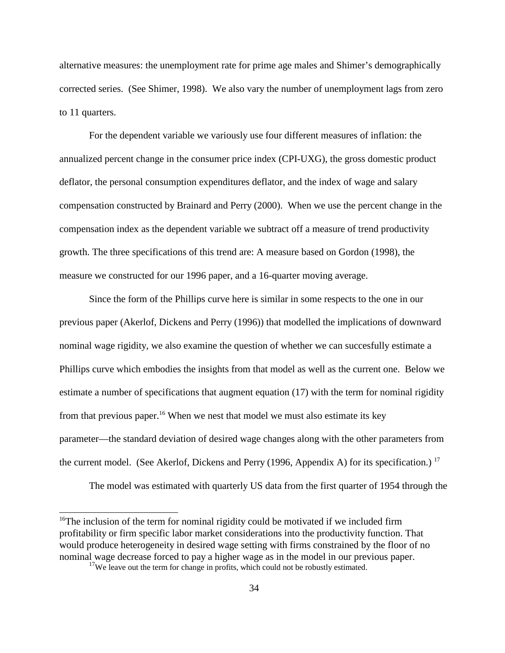alternative measures: the unemployment rate for prime age males and Shimer's demographically corrected series. (See Shimer, 1998). We also vary the number of unemployment lags from zero to 11 quarters.

For the dependent variable we variously use four different measures of inflation: the annualized percent change in the consumer price index (CPI-UXG), the gross domestic product deflator, the personal consumption expenditures deflator, and the index of wage and salary compensation constructed by Brainard and Perry (2000). When we use the percent change in the compensation index as the dependent variable we subtract off a measure of trend productivity growth. The three specifications of this trend are: A measure based on Gordon (1998), the measure we constructed for our 1996 paper, and a 16-quarter moving average.

Since the form of the Phillips curve here is similar in some respects to the one in our previous paper (Akerlof, Dickens and Perry (1996)) that modelled the implications of downward nominal wage rigidity, we also examine the question of whether we can succesfully estimate a Phillips curve which embodies the insights from that model as well as the current one. Below we estimate a number of specifications that augment equation (17) with the term for nominal rigidity from that previous paper.<sup>16</sup> When we nest that model we must also estimate its key parameter—the standard deviation of desired wage changes along with the other parameters from the current model. (See Akerlof, Dickens and Perry (1996, Appendix A) for its specification.)<sup>17</sup>

The model was estimated with quarterly US data from the first quarter of 1954 through the

<sup>&</sup>lt;sup>16</sup>The inclusion of the term for nominal rigidity could be motivated if we included firm profitability or firm specific labor market considerations into the productivity function. That would produce heterogeneity in desired wage setting with firms constrained by the floor of no nominal wage decrease forced to pay a higher wage as in the model in our previous paper.

<sup>&</sup>lt;sup>17</sup>We leave out the term for change in profits, which could not be robustly estimated.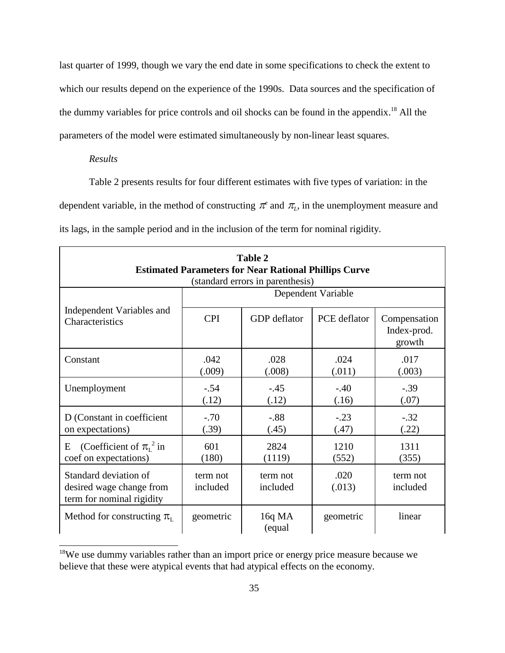last quarter of 1999, though we vary the end date in some specifications to check the extent to which our results depend on the experience of the 1990s. Data sources and the specification of the dummy variables for price controls and oil shocks can be found in the appendix.<sup>18</sup> All the parameters of the model were estimated simultaneously by non-linear least squares.

## *Results*

Table 2 presents results for four different estimates with five types of variation: in the dependent variable, in the method of constructing  $\pi^e$  and  $\pi_L$ , in the unemployment measure and its lags, in the sample period and in the inclusion of the term for nominal rigidity.

| <b>Table 2</b><br><b>Estimated Parameters for Near Rational Phillips Curve</b><br>(standard errors in parenthesis) |                      |                      |                 |                                       |  |  |  |  |
|--------------------------------------------------------------------------------------------------------------------|----------------------|----------------------|-----------------|---------------------------------------|--|--|--|--|
|                                                                                                                    | Dependent Variable   |                      |                 |                                       |  |  |  |  |
| Independent Variables and<br>Characteristics                                                                       | <b>CPI</b>           | GDP deflator         | PCE deflator    | Compensation<br>Index-prod.<br>growth |  |  |  |  |
| Constant                                                                                                           | .042<br>(.009)       | .028<br>(.008)       | .024<br>(.011)  | .017<br>(.003)                        |  |  |  |  |
| Unemployment                                                                                                       | $-.54$<br>(.12)      | $-.45$<br>(.12)      | $-.40$<br>(.16) | $-.39$<br>(.07)                       |  |  |  |  |
| D (Constant in coefficient<br>on expectations)                                                                     | $-.70$<br>(.39)      | $-0.88$<br>(.45)     | $-.23$<br>(.47) | $-.32$<br>(.22)                       |  |  |  |  |
| (Coefficient of $\pi_{I}^{2}$ in<br>E<br>coef on expectations)                                                     | 601<br>(180)         | 2824<br>(1119)       | 1210<br>(552)   | 1311<br>(355)                         |  |  |  |  |
| Standard deviation of<br>desired wage change from<br>term for nominal rigidity                                     | term not<br>included | term not<br>included | .020<br>(.013)  | term not<br>included                  |  |  |  |  |
| Method for constructing $\pi_{\text{L}}$                                                                           | geometric            | 16q MA<br>(equal     | geometric       | linear                                |  |  |  |  |

<sup>&</sup>lt;sup>18</sup>We use dummy variables rather than an import price or energy price measure because we believe that these were atypical events that had atypical effects on the economy.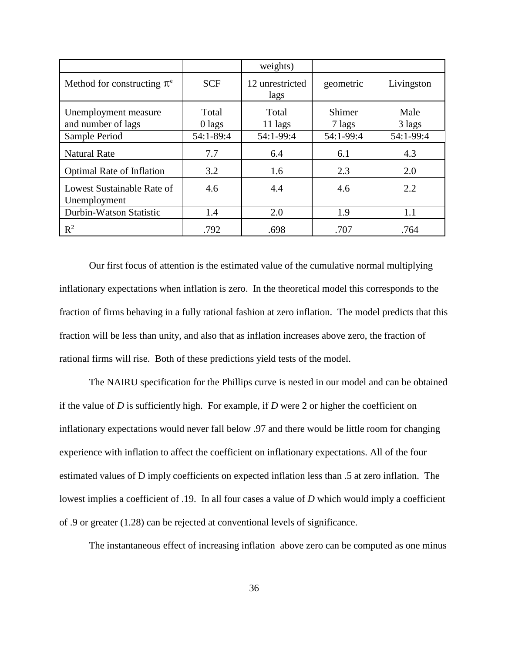|                                            |                 | weights)                |                  |                |
|--------------------------------------------|-----------------|-------------------------|------------------|----------------|
| Method for constructing $\pi$ <sup>e</sup> | <b>SCF</b>      | 12 unrestricted<br>lags | geometric        | Livingston     |
| Unemployment measure<br>and number of lags | Total<br>0 lags | Total<br>11 lags        | Shimer<br>7 lags | Male<br>3 lags |
| Sample Period                              | 54:1-89:4       | 54:1-99:4               | 54:1-99:4        | 54:1-99:4      |
| <b>Natural Rate</b>                        | 7.7             | 6.4                     | 6.1              | 4.3            |
| <b>Optimal Rate of Inflation</b>           | 3.2             | 1.6                     | 2.3              | 2.0            |
| Lowest Sustainable Rate of<br>Unemployment | 4.6             | 4.4                     | 4.6              | 2.2            |
| Durbin-Watson Statistic                    | 1.4             | 2.0                     | 1.9              | 1.1            |
| $R^2$                                      | .792            | .698                    | .707             | .764           |

Our first focus of attention is the estimated value of the cumulative normal multiplying inflationary expectations when inflation is zero. In the theoretical model this corresponds to the fraction of firms behaving in a fully rational fashion at zero inflation. The model predicts that this fraction will be less than unity, and also that as inflation increases above zero, the fraction of rational firms will rise. Both of these predictions yield tests of the model.

The NAIRU specification for the Phillips curve is nested in our model and can be obtained if the value of *D* is sufficiently high. For example, if *D* were 2 or higher the coefficient on inflationary expectations would never fall below .97 and there would be little room for changing experience with inflation to affect the coefficient on inflationary expectations. All of the four estimated values of D imply coefficients on expected inflation less than .5 at zero inflation. The lowest implies a coefficient of .19. In all four cases a value of *D* which would imply a coefficient of .9 or greater (1.28) can be rejected at conventional levels of significance.

The instantaneous effect of increasing inflation above zero can be computed as one minus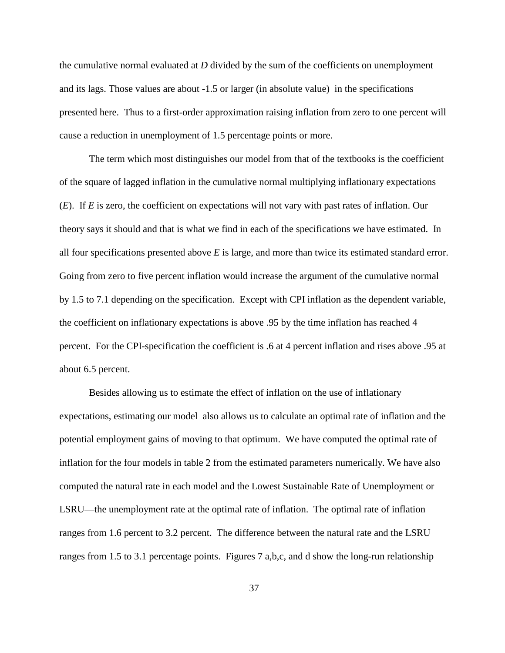the cumulative normal evaluated at *D* divided by the sum of the coefficients on unemployment and its lags. Those values are about -1.5 or larger (in absolute value) in the specifications presented here. Thus to a first-order approximation raising inflation from zero to one percent will cause a reduction in unemployment of 1.5 percentage points or more.

The term which most distinguishes our model from that of the textbooks is the coefficient of the square of lagged inflation in the cumulative normal multiplying inflationary expectations (*E*). If *E* is zero, the coefficient on expectations will not vary with past rates of inflation. Our theory says it should and that is what we find in each of the specifications we have estimated. In all four specifications presented above *E* is large, and more than twice its estimated standard error. Going from zero to five percent inflation would increase the argument of the cumulative normal by 1.5 to 7.1 depending on the specification. Except with CPI inflation as the dependent variable, the coefficient on inflationary expectations is above .95 by the time inflation has reached 4 percent. For the CPI-specification the coefficient is .6 at 4 percent inflation and rises above .95 at about 6.5 percent.

Besides allowing us to estimate the effect of inflation on the use of inflationary expectations, estimating our model also allows us to calculate an optimal rate of inflation and the potential employment gains of moving to that optimum. We have computed the optimal rate of inflation for the four models in table 2 from the estimated parameters numerically. We have also computed the natural rate in each model and the Lowest Sustainable Rate of Unemployment or LSRU—the unemployment rate at the optimal rate of inflation. The optimal rate of inflation ranges from 1.6 percent to 3.2 percent. The difference between the natural rate and the LSRU ranges from 1.5 to 3.1 percentage points. Figures 7 a,b,c, and d show the long-run relationship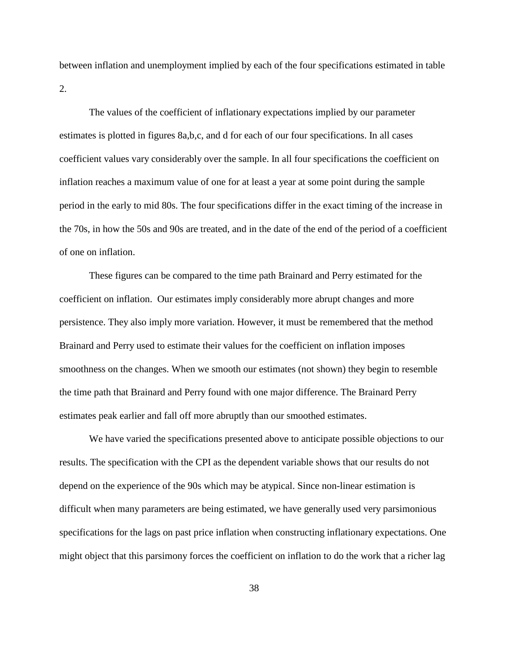between inflation and unemployment implied by each of the four specifications estimated in table 2.

The values of the coefficient of inflationary expectations implied by our parameter estimates is plotted in figures 8a,b,c, and d for each of our four specifications. In all cases coefficient values vary considerably over the sample. In all four specifications the coefficient on inflation reaches a maximum value of one for at least a year at some point during the sample period in the early to mid 80s. The four specifications differ in the exact timing of the increase in the 70s, in how the 50s and 90s are treated, and in the date of the end of the period of a coefficient of one on inflation.

These figures can be compared to the time path Brainard and Perry estimated for the coefficient on inflation. Our estimates imply considerably more abrupt changes and more persistence. They also imply more variation. However, it must be remembered that the method Brainard and Perry used to estimate their values for the coefficient on inflation imposes smoothness on the changes. When we smooth our estimates (not shown) they begin to resemble the time path that Brainard and Perry found with one major difference. The Brainard Perry estimates peak earlier and fall off more abruptly than our smoothed estimates.

We have varied the specifications presented above to anticipate possible objections to our results. The specification with the CPI as the dependent variable shows that our results do not depend on the experience of the 90s which may be atypical. Since non-linear estimation is difficult when many parameters are being estimated, we have generally used very parsimonious specifications for the lags on past price inflation when constructing inflationary expectations. One might object that this parsimony forces the coefficient on inflation to do the work that a richer lag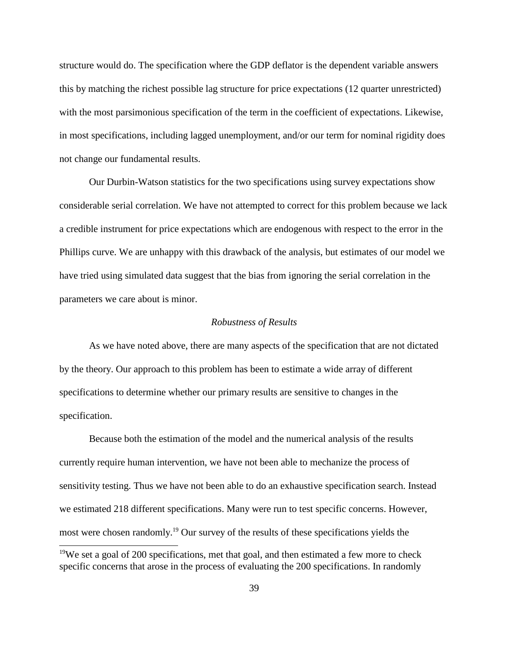structure would do. The specification where the GDP deflator is the dependent variable answers this by matching the richest possible lag structure for price expectations (12 quarter unrestricted) with the most parsimonious specification of the term in the coefficient of expectations. Likewise, in most specifications, including lagged unemployment, and/or our term for nominal rigidity does not change our fundamental results.

Our Durbin-Watson statistics for the two specifications using survey expectations show considerable serial correlation. We have not attempted to correct for this problem because we lack a credible instrument for price expectations which are endogenous with respect to the error in the Phillips curve. We are unhappy with this drawback of the analysis, but estimates of our model we have tried using simulated data suggest that the bias from ignoring the serial correlation in the parameters we care about is minor.

## *Robustness of Results*

As we have noted above, there are many aspects of the specification that are not dictated by the theory. Our approach to this problem has been to estimate a wide array of different specifications to determine whether our primary results are sensitive to changes in the specification.

Because both the estimation of the model and the numerical analysis of the results currently require human intervention, we have not been able to mechanize the process of sensitivity testing. Thus we have not been able to do an exhaustive specification search. Instead we estimated 218 different specifications. Many were run to test specific concerns. However, most were chosen randomly.<sup>19</sup> Our survey of the results of these specifications yields the

<sup>&</sup>lt;sup>19</sup>We set a goal of 200 specifications, met that goal, and then estimated a few more to check specific concerns that arose in the process of evaluating the 200 specifications. In randomly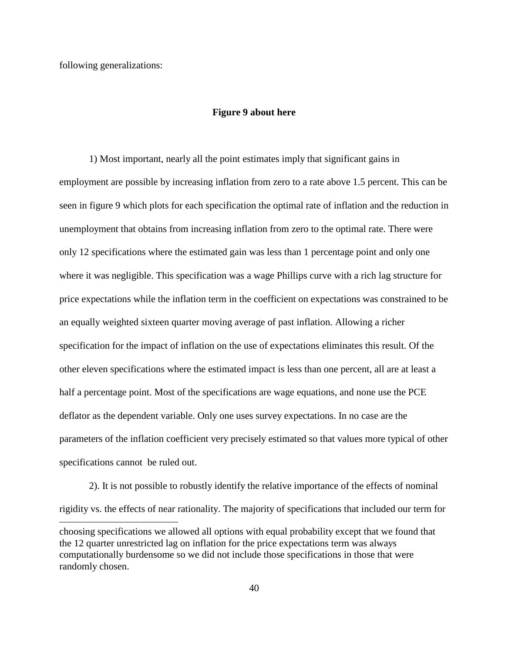following generalizations:

### **Figure 9 about here**

1) Most important, nearly all the point estimates imply that significant gains in employment are possible by increasing inflation from zero to a rate above 1.5 percent. This can be seen in figure 9 which plots for each specification the optimal rate of inflation and the reduction in unemployment that obtains from increasing inflation from zero to the optimal rate. There were only 12 specifications where the estimated gain was less than 1 percentage point and only one where it was negligible. This specification was a wage Phillips curve with a rich lag structure for price expectations while the inflation term in the coefficient on expectations was constrained to be an equally weighted sixteen quarter moving average of past inflation. Allowing a richer specification for the impact of inflation on the use of expectations eliminates this result. Of the other eleven specifications where the estimated impact is less than one percent, all are at least a half a percentage point. Most of the specifications are wage equations, and none use the PCE deflator as the dependent variable. Only one uses survey expectations. In no case are the parameters of the inflation coefficient very precisely estimated so that values more typical of other specifications cannot be ruled out.

choosing specifications we allowed all options with equal probability except that we found that the 12 quarter unrestricted lag on inflation for the price expectations term was always computationally burdensome so we did not include those specifications in those that were randomly chosen. 2). It is not possible to robustly identify the relative importance of the effects of nominal rigidity vs. the effects of near rationality. The majority of specifications that included our term for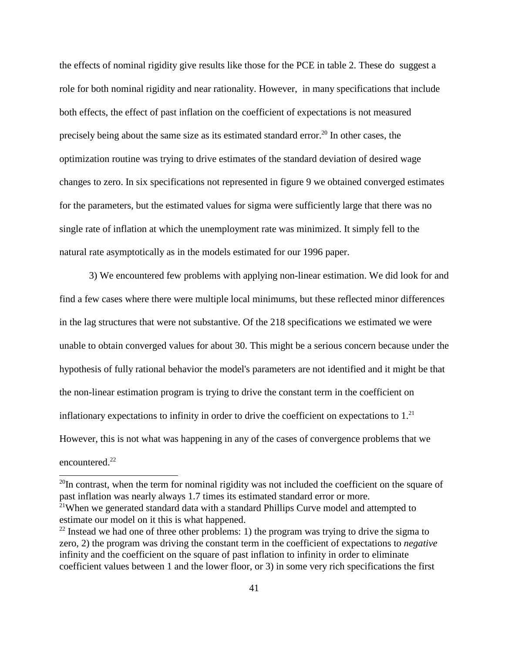the effects of nominal rigidity give results like those for the PCE in table 2. These do suggest a role for both nominal rigidity and near rationality. However, in many specifications that include both effects, the effect of past inflation on the coefficient of expectations is not measured precisely being about the same size as its estimated standard error.<sup>20</sup> In other cases, the optimization routine was trying to drive estimates of the standard deviation of desired wage changes to zero. In six specifications not represented in figure 9 we obtained converged estimates for the parameters, but the estimated values for sigma were sufficiently large that there was no single rate of inflation at which the unemployment rate was minimized. It simply fell to the natural rate asymptotically as in the models estimated for our 1996 paper.

3) We encountered few problems with applying non-linear estimation. We did look for and find a few cases where there were multiple local minimums, but these reflected minor differences in the lag structures that were not substantive. Of the 218 specifications we estimated we were unable to obtain converged values for about 30. This might be a serious concern because under the hypothesis of fully rational behavior the model's parameters are not identified and it might be that the non-linear estimation program is trying to drive the constant term in the coefficient on inflationary expectations to infinity in order to drive the coefficient on expectations to  $1<sup>21</sup>$ However, this is not what was happening in any of the cases of convergence problems that we encountered.<sup>22</sup>

 $20$ In contrast, when the term for nominal rigidity was not included the coefficient on the square of past inflation was nearly always 1.7 times its estimated standard error or more.

<sup>&</sup>lt;sup>21</sup>When we generated standard data with a standard Phillips Curve model and attempted to estimate our model on it this is what happened.

 $22$  Instead we had one of three other problems: 1) the program was trying to drive the sigma to zero, 2) the program was driving the constant term in the coefficient of expectations to *negative* infinity and the coefficient on the square of past inflation to infinity in order to eliminate coefficient values between 1 and the lower floor, or 3) in some very rich specifications the first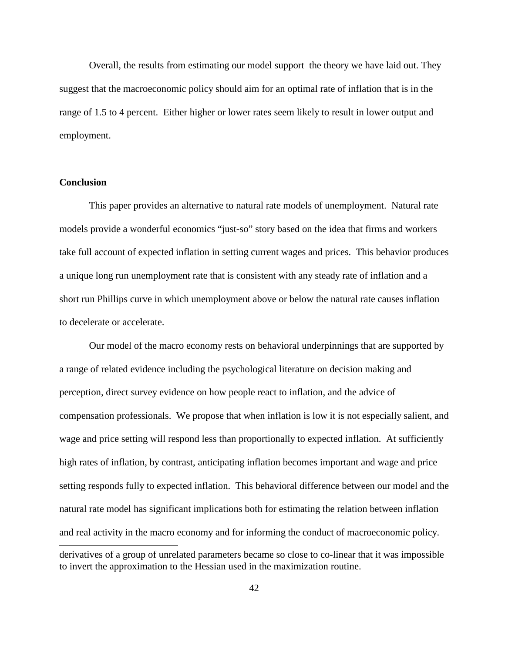Overall, the results from estimating our model support the theory we have laid out. They suggest that the macroeconomic policy should aim for an optimal rate of inflation that is in the range of 1.5 to 4 percent. Either higher or lower rates seem likely to result in lower output and employment.

## **Conclusion**

This paper provides an alternative to natural rate models of unemployment. Natural rate models provide a wonderful economics "just-so" story based on the idea that firms and workers take full account of expected inflation in setting current wages and prices. This behavior produces a unique long run unemployment rate that is consistent with any steady rate of inflation and a short run Phillips curve in which unemployment above or below the natural rate causes inflation to decelerate or accelerate.

derivatives of a group of unrelated parameters became so close to co-linear that it was impossible to invert the approximation to the Hessian used in the maximization routine. Our model of the macro economy rests on behavioral underpinnings that are supported by a range of related evidence including the psychological literature on decision making and perception, direct survey evidence on how people react to inflation, and the advice of compensation professionals. We propose that when inflation is low it is not especially salient, and wage and price setting will respond less than proportionally to expected inflation. At sufficiently high rates of inflation, by contrast, anticipating inflation becomes important and wage and price setting responds fully to expected inflation. This behavioral difference between our model and the natural rate model has significant implications both for estimating the relation between inflation and real activity in the macro economy and for informing the conduct of macroeconomic policy.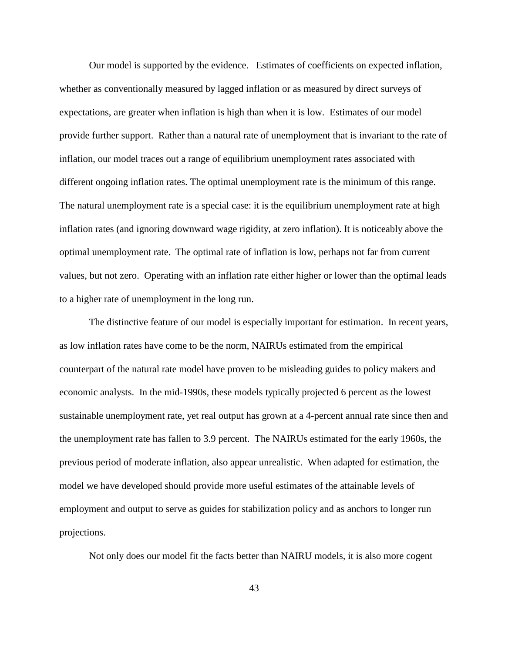Our model is supported by the evidence. Estimates of coefficients on expected inflation, whether as conventionally measured by lagged inflation or as measured by direct surveys of expectations, are greater when inflation is high than when it is low. Estimates of our model provide further support. Rather than a natural rate of unemployment that is invariant to the rate of inflation, our model traces out a range of equilibrium unemployment rates associated with different ongoing inflation rates. The optimal unemployment rate is the minimum of this range. The natural unemployment rate is a special case: it is the equilibrium unemployment rate at high inflation rates (and ignoring downward wage rigidity, at zero inflation). It is noticeably above the optimal unemployment rate. The optimal rate of inflation is low, perhaps not far from current values, but not zero. Operating with an inflation rate either higher or lower than the optimal leads to a higher rate of unemployment in the long run.

The distinctive feature of our model is especially important for estimation. In recent years, as low inflation rates have come to be the norm, NAIRUs estimated from the empirical counterpart of the natural rate model have proven to be misleading guides to policy makers and economic analysts. In the mid-1990s, these models typically projected 6 percent as the lowest sustainable unemployment rate, yet real output has grown at a 4-percent annual rate since then and the unemployment rate has fallen to 3.9 percent. The NAIRUs estimated for the early 1960s, the previous period of moderate inflation, also appear unrealistic. When adapted for estimation, the model we have developed should provide more useful estimates of the attainable levels of employment and output to serve as guides for stabilization policy and as anchors to longer run projections.

Not only does our model fit the facts better than NAIRU models, it is also more cogent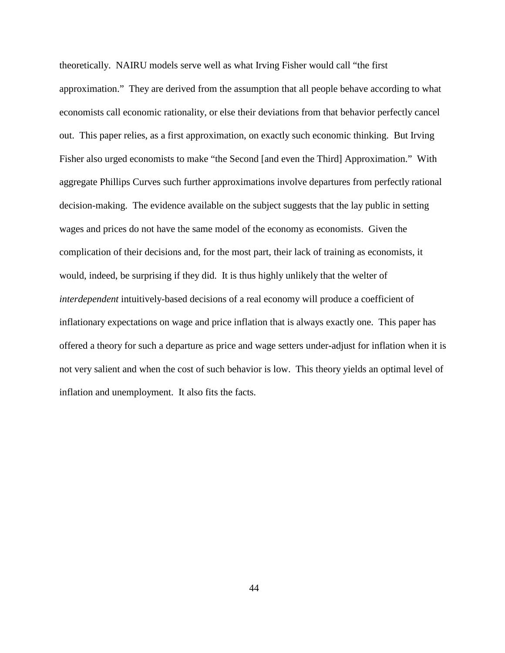theoretically. NAIRU models serve well as what Irving Fisher would call "the first approximation." They are derived from the assumption that all people behave according to what economists call economic rationality, or else their deviations from that behavior perfectly cancel out. This paper relies, as a first approximation, on exactly such economic thinking. But Irving Fisher also urged economists to make "the Second [and even the Third] Approximation." With aggregate Phillips Curves such further approximations involve departures from perfectly rational decision-making. The evidence available on the subject suggests that the lay public in setting wages and prices do not have the same model of the economy as economists. Given the complication of their decisions and, for the most part, their lack of training as economists, it would, indeed, be surprising if they did. It is thus highly unlikely that the welter of *interdependent* intuitively-based decisions of a real economy will produce a coefficient of inflationary expectations on wage and price inflation that is always exactly one. This paper has offered a theory for such a departure as price and wage setters under-adjust for inflation when it is not very salient and when the cost of such behavior is low. This theory yields an optimal level of inflation and unemployment. It also fits the facts.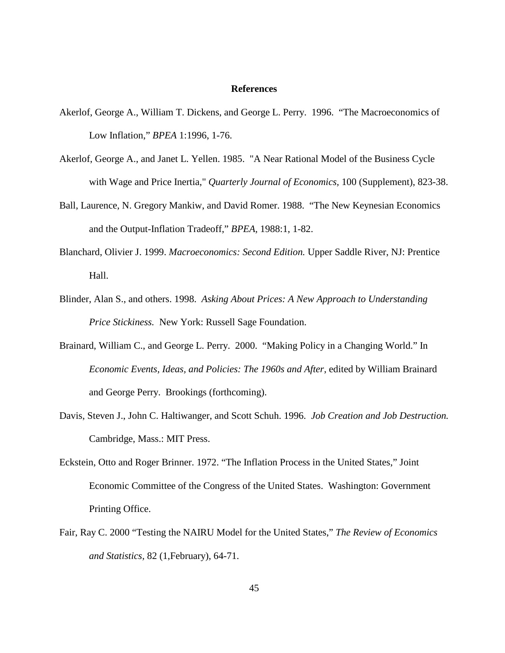#### **References**

- Akerlof, George A., William T. Dickens, and George L. Perry. 1996. "The Macroeconomics of Low Inflation," *BPEA* 1:1996, 1-76.
- Akerlof, George A., and Janet L. Yellen. 1985. "A Near Rational Model of the Business Cycle with Wage and Price Inertia," *Quarterly Journal of Economics,* 100 (Supplement), 823-38.
- Ball, Laurence, N. Gregory Mankiw, and David Romer. 1988. "The New Keynesian Economics and the Output-Inflation Tradeoff," *BPEA,* 1988:1, 1-82.
- Blanchard, Olivier J. 1999. *Macroeconomics: Second Edition.* Upper Saddle River, NJ: Prentice Hall.
- Blinder, Alan S., and others. 1998. *Asking About Prices: A New Approach to Understanding Price Stickiness.* New York: Russell Sage Foundation.
- Brainard, William C., and George L. Perry. 2000. "Making Policy in a Changing World." In *Economic Events, Ideas, and Policies: The 1960s and After*, edited by William Brainard and George Perry. Brookings (forthcoming).
- Davis, Steven J., John C. Haltiwanger, and Scott Schuh. 1996. *Job Creation and Job Destruction.* Cambridge, Mass.: MIT Press.
- Eckstein, Otto and Roger Brinner. 1972. "The Inflation Process in the United States," Joint Economic Committee of the Congress of the United States. Washington: Government Printing Office.
- Fair, Ray C. 2000 "Testing the NAIRU Model for the United States," *The Review of Economics and Statistics,* 82 (1,February), 64-71.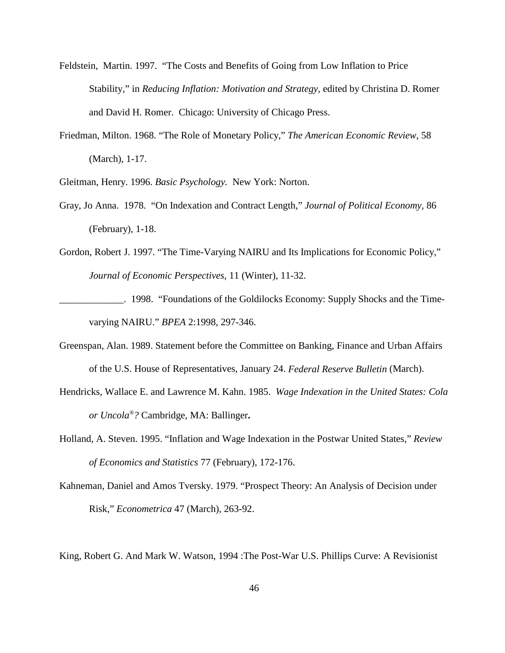- Feldstein, Martin. 1997. "The Costs and Benefits of Going from Low Inflation to Price Stability," in *Reducing Inflation: Motivation and Strategy,* edited by Christina D. Romer and David H. Romer. Chicago: University of Chicago Press.
- Friedman, Milton. 1968. "The Role of Monetary Policy," *The American Economic Review*, 58 (March), 1-17.

Gleitman, Henry. 1996. *Basic Psychology.* New York: Norton.

- Gray, Jo Anna. 1978. "On Indexation and Contract Length," *Journal of Political Economy,* 86 (February), 1-18.
- Gordon, Robert J. 1997. "The Time-Varying NAIRU and Its Implications for Economic Policy," *Journal of Economic Perspectives,* 11 (Winter), 11-32.
- \_\_\_\_\_\_\_\_\_\_\_\_\_. 1998. "Foundations of the Goldilocks Economy: Supply Shocks and the Timevarying NAIRU." *BPEA* 2:1998, 297-346.
- Greenspan, Alan. 1989. Statement before the Committee on Banking, Finance and Urban Affairs of the U.S. House of Representatives, January 24. *Federal Reserve Bulletin* (March).
- Hendricks, Wallace E. and Lawrence M. Kahn. 1985. *Wage Indexation in the United States: Cola or Uncola ® ?* Cambridge, MA: Ballinger**.**
- Holland, A. Steven. 1995. "Inflation and Wage Indexation in the Postwar United States," *Review of Economics and Statistics* 77 (February), 172-176.
- Kahneman, Daniel and Amos Tversky. 1979. "Prospect Theory: An Analysis of Decision under Risk," *Econometrica* 47 (March), 263-92.

King, Robert G. And Mark W. Watson, 1994 :The Post-War U.S. Phillips Curve: A Revisionist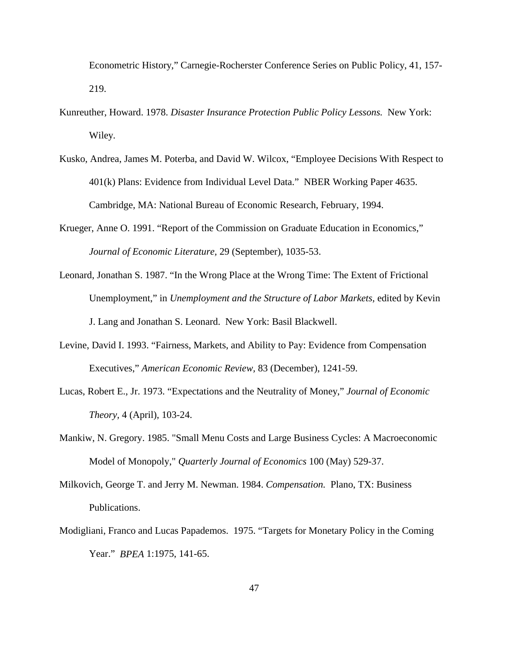Econometric History," Carnegie-Rocherster Conference Series on Public Policy, 41, 157- 219.

- Kunreuther, Howard. 1978. *Disaster Insurance Protection Public Policy Lessons.* New York: Wiley.
- Kusko, Andrea, James M. Poterba, and David W. Wilcox, "Employee Decisions With Respect to 401(k) Plans: Evidence from Individual Level Data." NBER Working Paper 4635. Cambridge, MA: National Bureau of Economic Research, February, 1994.
- Krueger, Anne O. 1991. "Report of the Commission on Graduate Education in Economics," *Journal of Economic Literature,* 29 (September), 1035-53.
- Leonard, Jonathan S. 1987. "In the Wrong Place at the Wrong Time: The Extent of Frictional Unemployment," in *Unemployment and the Structure of Labor Markets,* edited by Kevin J. Lang and Jonathan S. Leonard. New York: Basil Blackwell.
- Levine, David I. 1993. "Fairness, Markets, and Ability to Pay: Evidence from Compensation Executives," *American Economic Review,* 83 (December), 1241-59.
- Lucas, Robert E., Jr. 1973. "Expectations and the Neutrality of Money," *Journal of Economic Theory,* 4 (April), 103-24.
- Mankiw, N. Gregory. 1985. "Small Menu Costs and Large Business Cycles: A Macroeconomic Model of Monopoly," *Quarterly Journal of Economics* 100 (May) 529-37.
- Milkovich, George T. and Jerry M. Newman. 1984. *Compensation.* Plano, TX: Business Publications.
- Modigliani, Franco and Lucas Papademos. 1975. "Targets for Monetary Policy in the Coming Year." *BPEA* 1:1975, 141-65.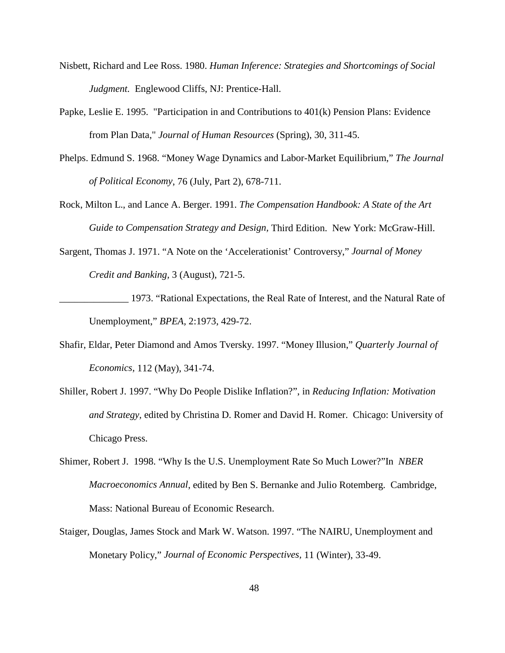- Nisbett, Richard and Lee Ross. 1980. *Human Inference: Strategies and Shortcomings of Social Judgment.* Englewood Cliffs, NJ: Prentice-Hall.
- Papke, Leslie E. 1995. "Participation in and Contributions to 401(k) Pension Plans: Evidence from Plan Data," *Journal of Human Resources* (Spring), 30, 311-45.
- Phelps. Edmund S. 1968. "Money Wage Dynamics and Labor-Market Equilibrium," *The Journal of Political Economy*, 76 (July, Part 2), 678-711.
- Rock, Milton L., and Lance A. Berger. 1991. *The Compensation Handbook: A State of the Art Guide to Compensation Strategy and Design,* Third Edition. New York: McGraw-Hill.
- Sargent, Thomas J. 1971. "A Note on the 'Accelerationist' Controversy," *Journal of Money Credit and Banking,* 3 (August), 721-5.
- 1973. "Rational Expectations, the Real Rate of Interest, and the Natural Rate of Unemployment," *BPEA,* 2:1973, 429-72.
- Shafir, Eldar, Peter Diamond and Amos Tversky. 1997. "Money Illusion," *Quarterly Journal of Economics,* 112 (May), 341-74.
- Shiller, Robert J. 1997. "Why Do People Dislike Inflation?", in *Reducing Inflation: Motivation and Strategy,* edited by Christina D. Romer and David H. Romer. Chicago: University of Chicago Press.
- Shimer, Robert J. 1998. "Why Is the U.S. Unemployment Rate So Much Lower?"In *NBER Macroeconomics Annual*, edited by Ben S. Bernanke and Julio Rotemberg. Cambridge, Mass: National Bureau of Economic Research.
- Staiger, Douglas, James Stock and Mark W. Watson. 1997. "The NAIRU, Unemployment and Monetary Policy," *Journal of Economic Perspectives,* 11 (Winter), 33-49.